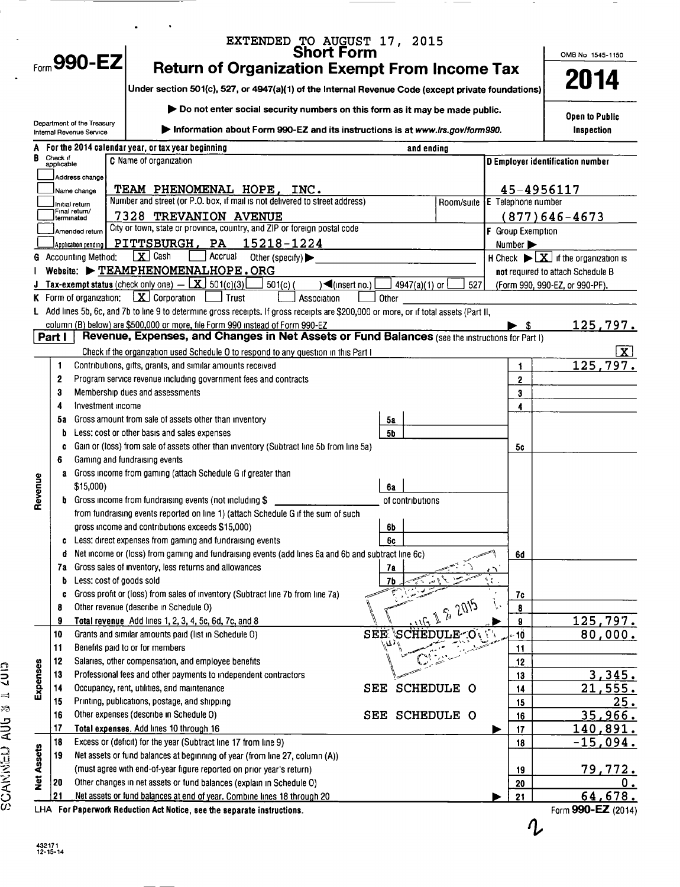|                   |            |                                                        | EXTENDED TO AUGUST 17, 2015                                                                                                                                                      |                   |            |                           | OMB No 1545-1150                                                                |
|-------------------|------------|--------------------------------------------------------|----------------------------------------------------------------------------------------------------------------------------------------------------------------------------------|-------------------|------------|---------------------------|---------------------------------------------------------------------------------|
|                   |            | $_{\text{form}}$ 990-EZ                                | <b>Return of Organization Exempt From Income Tax</b><br>Under section 501(c), 527, or 4947(a)(1) of the Internal Revenue Code (except private foundations)                       |                   |            |                           | 2014                                                                            |
|                   |            |                                                        | Do not enter social security numbers on this form as it may be made public.                                                                                                      |                   |            |                           | <b>Open to Public</b>                                                           |
|                   |            | Department of the Treasury<br>Internal Revenue Service | Information about Form 990-EZ and its instructions is at www.lrs.gov/form990.                                                                                                    |                   |            |                           | Inspection                                                                      |
|                   |            |                                                        | For the 2014 calendar year, or tax year beginning                                                                                                                                |                   |            |                           |                                                                                 |
|                   | Check if   |                                                        | C Name of organization                                                                                                                                                           | and ending        |            |                           | D Employer identification number                                                |
|                   | applicable | Address change                                         |                                                                                                                                                                                  |                   |            |                           |                                                                                 |
|                   |            | Name change                                            | TEAM PHENOMENAL HOPE, INC.                                                                                                                                                       |                   |            |                           | 45-4956117                                                                      |
|                   |            | Initial return                                         | Number and street (or P.O. box, if mail is not delivered to street address)                                                                                                      |                   | Room/suite | <b>E</b> Telephone number |                                                                                 |
|                   |            | Final return/<br>terminated                            | 7328 TREVANION AVENUE                                                                                                                                                            |                   |            |                           | $(877)646 - 4673$                                                               |
|                   |            | Amended return                                         | City or town, state or province, country, and ZIP or foreign postal code                                                                                                         |                   |            | F Group Exemption         |                                                                                 |
|                   |            | Application pending                                    | PITTSBURGH, PA 15218-1224                                                                                                                                                        |                   |            | Number >                  |                                                                                 |
|                   |            | <b>G</b> Accounting Method:                            | $\vert$ X $\vert$ Cash<br>Accrual<br>Other (specify) $\blacktriangleright$                                                                                                       |                   |            |                           | H Check $\blacktriangleright \lfloor \mathbf{X} \rfloor$ if the organization is |
|                   |            |                                                        | Website: FEAMPHENOMENALHOPE.ORG                                                                                                                                                  |                   |            |                           | not required to attach Schedule B                                               |
|                   |            |                                                        | Tax-exempt status (check only one) $-\lfloor \mathbf{X} \rfloor$ 501(c)(3)<br>$501(c)$ (<br>$\blacksquare$ (insert no.)                                                          | 4947(a)(1) or [   | 527        |                           | (Form 990, 990-EZ, or 990-PF).                                                  |
|                   |            | K Form of organization:                                | $\mathbf{X}$ Corporation<br>Trust<br>Association<br>Other                                                                                                                        |                   |            |                           |                                                                                 |
|                   |            |                                                        | L Add lines 5b, 6c, and 7b to line 9 to determine gross receipts. If gross receipts are \$200,000 or more, or if total assets (Part II,                                          |                   |            |                           |                                                                                 |
|                   | Part I     |                                                        | column (B) below) are \$500,000 or more, file Form 990 instead of Form 990-EZ<br>Revenue, Expenses, and Changes in Net Assets or Fund Balances (see the instructions for Part I) |                   |            | - \$                      | 125,797.                                                                        |
|                   |            |                                                        | Check if the organization used Schedule O to respond to any question in this Part I                                                                                              |                   |            |                           | $\mathbf{X}$                                                                    |
|                   | 1          |                                                        | Contributions, gifts, grants, and similar amounts received                                                                                                                       |                   |            | 1                         | 125,797.                                                                        |
|                   | 2          |                                                        | Program service revenue including government fees and contracts                                                                                                                  |                   |            | $\mathbf 2$               |                                                                                 |
|                   | 3          |                                                        | Membership dues and assessments                                                                                                                                                  |                   |            | 3                         |                                                                                 |
|                   | 4          | Investment income                                      |                                                                                                                                                                                  |                   |            | 4                         |                                                                                 |
|                   | 53.        |                                                        | Gross amount from sale of assets other than inventory<br>5а                                                                                                                      |                   |            |                           |                                                                                 |
|                   | b          |                                                        | Less: cost or other basis and sales expenses<br><b>5b</b>                                                                                                                        |                   |            |                           |                                                                                 |
|                   | c          |                                                        | Gain or (loss) from sale of assets other than inventory (Subtract line 5b from line 5a)                                                                                          |                   |            | 5с                        |                                                                                 |
|                   | 6          |                                                        | Gaming and fundraising events                                                                                                                                                    |                   |            |                           |                                                                                 |
|                   | a          |                                                        | Gross income from gaming (attach Schedule G if greater than                                                                                                                      |                   |            |                           |                                                                                 |
| Revenue           |            | \$15,000)                                              | 6a                                                                                                                                                                               |                   |            |                           |                                                                                 |
|                   | b.         |                                                        | Gross income from fundraising events (not including \$                                                                                                                           | of contributions  |            |                           |                                                                                 |
|                   |            |                                                        | from fundraising events reported on line 1) (attach Schedule G if the sum of such<br>6 <sub>b</sub><br>gross income and contributions exceeds \$15,000)                          |                   |            |                           |                                                                                 |
|                   | c          |                                                        | 6c<br>Less: direct expenses from gaming and fundraising events                                                                                                                   |                   |            |                           |                                                                                 |
|                   | đ          |                                                        | Net income or (loss) from gaming and fundraising events (add lines 6a and 6b and subtract line 6c)                                                                               |                   |            | 6d                        |                                                                                 |
|                   | 7а         |                                                        | Gross sales of inventory, less returns and allowances<br>7а                                                                                                                      |                   |            |                           |                                                                                 |
|                   | b          | Less: cost of goods sold                               | 7b                                                                                                                                                                               |                   |            |                           |                                                                                 |
|                   | c          |                                                        | Gross profit or (loss) from sales of inventory (Subtract line 7b from line 7a)                                                                                                   |                   |            | 7c                        |                                                                                 |
|                   | 8          |                                                        | Other revenue (describe in Schedule O)                                                                                                                                           |                   |            | 8                         |                                                                                 |
|                   | 9          |                                                        | Total revenue Add lines 1, 2, 3, 4, 5c, 6d, 7c, and 8                                                                                                                            |                   |            | 9                         | <u>125,797.</u>                                                                 |
|                   | 10         |                                                        | SEE.<br>Grants and similar amounts paid (list in Schedule O)                                                                                                                     | <b>\SCHEDULE~</b> |            | 10                        | 80,000.                                                                         |
|                   | 11         |                                                        | Benefits paid to or for members                                                                                                                                                  |                   |            | 11                        |                                                                                 |
| Expenses          | 12<br>13   |                                                        | Salaries, other compensation, and employee benefits<br>Professional fees and other payments to independent contractors                                                           |                   |            | 12                        |                                                                                 |
|                   | 14         |                                                        | Occupancy, rent, utilities, and maintenance<br><b>SEE</b>                                                                                                                        | <b>SCHEDULE O</b> |            | 13<br>$\overline{14}$     | 3,345.<br>21,555.                                                               |
|                   | 15         |                                                        | Printing, publications, postage, and shipping                                                                                                                                    |                   |            | 15                        | 25.                                                                             |
|                   | 16         |                                                        | Other expenses (describe in Schedule O)<br>SEE                                                                                                                                   | <b>SCHEDULE O</b> |            | 16                        | 35,966.                                                                         |
|                   | 17         |                                                        | Total expenses. Add lines 10 through 16                                                                                                                                          |                   |            | 17                        | 140,891.                                                                        |
|                   | 18         |                                                        | Excess or (deficit) for the year (Subtract line 17 from line 9)                                                                                                                  |                   |            | 18                        | $-15,094.$                                                                      |
| <b>Net Assets</b> | 19         |                                                        | Net assets or fund balances at beginning of year (from line 27, column (A))                                                                                                      |                   |            |                           |                                                                                 |
|                   |            |                                                        | (must agree with end-of-year figure reported on prior year's return)                                                                                                             |                   |            | 19                        | 79,772.                                                                         |
|                   | 20         |                                                        | Other changes in net assets or fund balances (explain in Schedule O)                                                                                                             |                   |            | 20                        | Ο.                                                                              |
|                   | 21         |                                                        | Net assets or fund balances at end of year. Combine lines 18 through 20                                                                                                          |                   |            | 21                        | 64,678.                                                                         |
|                   |            |                                                        | LHA For Paperwork Reduction Act Notice, see the separate instructions.                                                                                                           |                   |            |                           | Form 990-EZ (2014)                                                              |
|                   |            |                                                        |                                                                                                                                                                                  |                   |            | $\boldsymbol{\eta}$       |                                                                                 |

 $\sim$   $\sim$ 

 $\sim$ 

 $\overline{\phantom{a}}$ 

 $\ddot{\phantom{0}}$ 

432171 12-15-14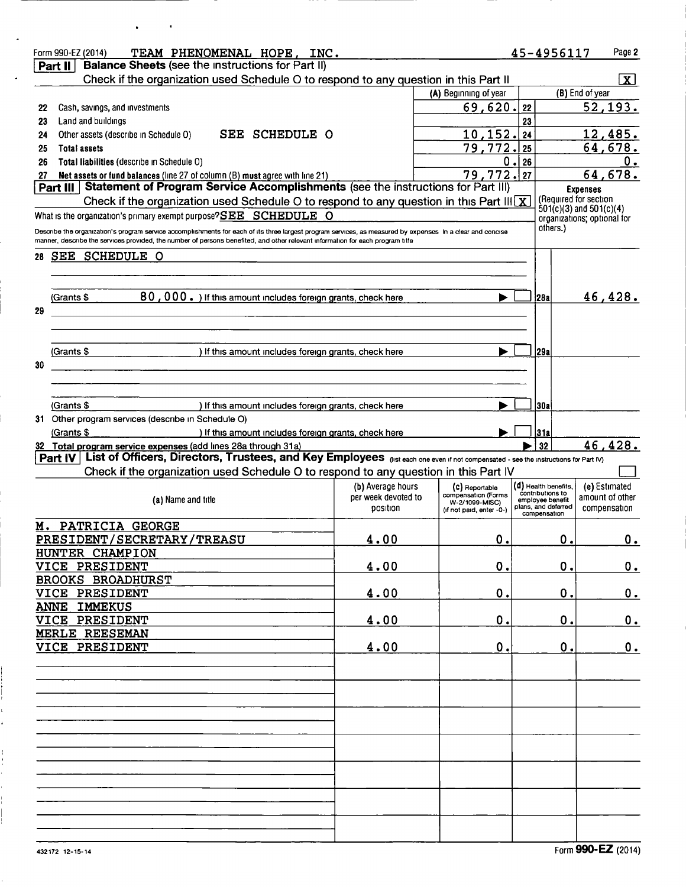| Form 990-EZ (2014)<br>TEAM PHENOMENAL HOPE, INC.                                                                                                           |                     |                                       | 45-4956117                               | Page 2                                                     |
|------------------------------------------------------------------------------------------------------------------------------------------------------------|---------------------|---------------------------------------|------------------------------------------|------------------------------------------------------------|
| <b>Balance Sheets (see the instructions for Part II)</b><br>Part II                                                                                        |                     |                                       |                                          |                                                            |
| Check if the organization used Schedule O to respond to any question in this Part II                                                                       |                     |                                       |                                          | $\overline{\mathbf{x}}$                                    |
|                                                                                                                                                            |                     | (A) Beginning of year                 |                                          | (B) End of year                                            |
| Cash, savings, and investments<br>22<br>Land and buildings<br>23                                                                                           |                     | 69,620.                               | 22<br>23                                 | 52, 193.                                                   |
| Other assets (describe in Schedule O)<br>SEE SCHEDULE O<br>24                                                                                              |                     | 10, 152.                              | 24                                       | 12,485.                                                    |
| <b>Total assets</b><br>25                                                                                                                                  |                     | 79,772.                               | 25                                       | 64,678.                                                    |
| Total liabilities (describe in Schedule O)<br>26                                                                                                           |                     | О.                                    | 26                                       | 0.                                                         |
| Net assets or fund balances (line 27 of column (B) must agree with line 21)<br>27                                                                          |                     | 79,772.                               | 27                                       | 64,678.                                                    |
| Part III Statement of Program Service Accomplishments (see the instructions for Part III)                                                                  |                     |                                       |                                          | <b>Expenses</b>                                            |
| Check if the organization used Schedule O to respond to any question in this Part III $\boxed{\mathbf{X}}$                                                 |                     |                                       | (Required for section                    |                                                            |
| What is the organization's primary exempt purpose? SEE SCHEDULE O                                                                                          |                     |                                       |                                          | $501(c)(3)$ and $501(c)(4)$<br>organizations; optional for |
| Describe the organization's program service accomplishments for each of its three largest program services, as measured by expenses In a clear and concise |                     |                                       | others.)                                 |                                                            |
| manner, describe the services provided, the number of persons benefited, and other relevant information for each program title                             |                     |                                       |                                          |                                                            |
| SEE SCHEDULE O<br>28.                                                                                                                                      |                     |                                       |                                          |                                                            |
|                                                                                                                                                            |                     |                                       |                                          |                                                            |
|                                                                                                                                                            |                     |                                       |                                          |                                                            |
| 80, 000. ) If this amount includes foreign grants, check here<br>(Grants \$                                                                                |                     |                                       | 28a                                      | 46,428.                                                    |
| 29                                                                                                                                                         |                     |                                       |                                          |                                                            |
|                                                                                                                                                            |                     |                                       |                                          |                                                            |
|                                                                                                                                                            |                     |                                       |                                          |                                                            |
| (Grants \$<br>) If this amount includes foreign grants, check here                                                                                         |                     |                                       | 29a                                      |                                                            |
| 30                                                                                                                                                         |                     |                                       |                                          |                                                            |
|                                                                                                                                                            |                     |                                       |                                          |                                                            |
|                                                                                                                                                            |                     |                                       |                                          |                                                            |
| (Grants \$<br>) If this amount includes foreign grants, check here                                                                                         |                     |                                       | 30a                                      |                                                            |
| 31 Other program services (describe in Schedule O)                                                                                                         |                     |                                       |                                          |                                                            |
| (Grants \$<br>) If this amount includes foreign grants, check here                                                                                         |                     |                                       | 31a                                      |                                                            |
| 32 Total program service expenses (add lines 28a through 31a)                                                                                              |                     |                                       | 32                                       | 46,428.                                                    |
| Part IV   List of Officers, Directors, Trustees, and Key Employees (Ilst each one even if not compensated - see the instructions for Part IV)              |                     |                                       |                                          |                                                            |
| Check if the organization used Schedule O to respond to any question in this Part IV                                                                       |                     |                                       |                                          |                                                            |
|                                                                                                                                                            | (b) Average hours   | (C) Reportable                        | (0) Health benefits,<br>contributions to | (e) Estimated                                              |
| (a) Name and title                                                                                                                                         | per week devoted to | compensation (Forms<br>W-2/1099-MISC) | employee benefit<br>plans, and deferred  | amount of other                                            |
|                                                                                                                                                            | position            | (if not paid, enter -0-)              | compensation                             | compensation                                               |
| M. PATRICIA GEORGE                                                                                                                                         |                     |                                       |                                          |                                                            |
| PRESIDENT/SECRETARY/TREASU                                                                                                                                 | 4.00                | Ο.                                    | 0.                                       | $\mathbf{0}$ .                                             |
| HUNTER CHAMPION                                                                                                                                            |                     |                                       |                                          |                                                            |
| VICE PRESIDENT                                                                                                                                             | 4.00                | 0.                                    | 0.                                       | 0.                                                         |
| <b>BROOKS BROADHURST</b>                                                                                                                                   |                     |                                       |                                          |                                                            |
| VICE PRESIDENT                                                                                                                                             | 4.00                | 0.                                    | 0.                                       | 0.                                                         |
| ANNE IMMEKUS                                                                                                                                               |                     |                                       |                                          |                                                            |
| VICE PRESIDENT                                                                                                                                             | 4.00                | 0.                                    | 0.                                       | 0.                                                         |
| MERLE REESEMAN                                                                                                                                             |                     |                                       |                                          |                                                            |
| VICE PRESIDENT                                                                                                                                             | 4.00                | 0.                                    | О.                                       | 0.                                                         |
|                                                                                                                                                            |                     |                                       |                                          |                                                            |
|                                                                                                                                                            |                     |                                       |                                          |                                                            |
|                                                                                                                                                            |                     |                                       |                                          |                                                            |
|                                                                                                                                                            |                     |                                       |                                          |                                                            |
|                                                                                                                                                            |                     |                                       |                                          |                                                            |
|                                                                                                                                                            |                     |                                       |                                          |                                                            |
|                                                                                                                                                            |                     |                                       |                                          |                                                            |
|                                                                                                                                                            |                     |                                       |                                          |                                                            |
|                                                                                                                                                            |                     |                                       |                                          |                                                            |
|                                                                                                                                                            |                     |                                       |                                          |                                                            |
|                                                                                                                                                            |                     |                                       |                                          |                                                            |
|                                                                                                                                                            |                     |                                       |                                          |                                                            |
|                                                                                                                                                            |                     |                                       |                                          |                                                            |
|                                                                                                                                                            |                     |                                       |                                          |                                                            |
| 432172 12-15-14                                                                                                                                            |                     |                                       |                                          | Form 990-EZ (2014)                                         |

 $\ddot{\phantom{a}}$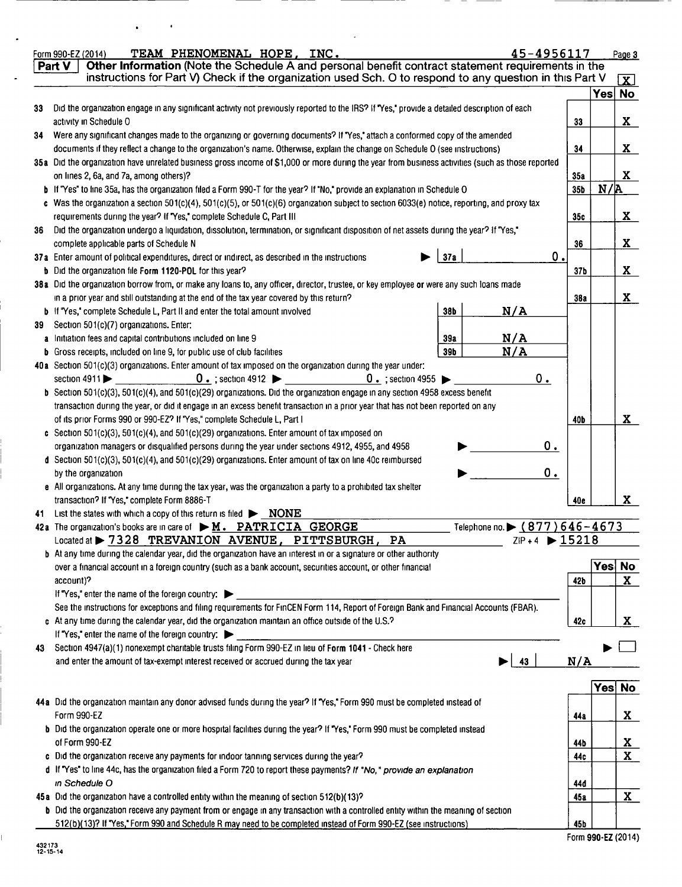|     | 45-4956117<br>TEAM PHENOMENAL HOPE, INC.<br>Form 990-EZ (2014)                                                                                                                                                                      |                 |        | Page 3                  |
|-----|-------------------------------------------------------------------------------------------------------------------------------------------------------------------------------------------------------------------------------------|-----------------|--------|-------------------------|
|     | Other Information (Note the Schedule A and personal benefit contract statement requirements in the<br>Part V                                                                                                                        |                 |        |                         |
|     | instructions for Part V) Check if the organization used Sch. O to respond to any question in this Part V                                                                                                                            |                 |        | $\overline{\mathbf{x}}$ |
|     |                                                                                                                                                                                                                                     |                 |        | Yes No                  |
| 33  | Did the organization engage in any significant activity not previously reported to the IRS? If "Yes," provide a detailed description of each                                                                                        |                 |        |                         |
|     | activity in Schedule O                                                                                                                                                                                                              | 33              |        | X                       |
| 34  | Were any significant changes made to the organizing or governing documents? If 'Yes,' attach a conformed copy of the amended                                                                                                        |                 |        |                         |
|     | documents if they reflect a change to the organization's name. Otherwise, explain the change on Schedule O (see instructions)                                                                                                       | 34              |        | X                       |
|     | 35a Did the organization have unrelated business gross income of \$1,000 or more during the year from business activities (such as those reported                                                                                   |                 |        |                         |
|     | on lines 2, 6a, and 7a, among others)?                                                                                                                                                                                              | 35a             |        | X                       |
|     | b If "Yes" to line 35a, has the organization filed a Form 990-T for the year? If "No," provide an explanation in Schedule O                                                                                                         | 35b             | N/R    |                         |
|     | c Was the organization a section 501(c)(4), 501(c)(5), or 501(c)(6) organization subject to section 6033(e) notice, reporting, and proxy tax                                                                                        |                 |        |                         |
|     | requirements during the year? If "Yes," complete Schedule C, Part III                                                                                                                                                               | 35c             |        | X                       |
| 36  | Did the organization undergo a liquidation, dissolution, termination, or significant disposition of net assets during the year? If "Yes,"                                                                                           |                 |        |                         |
|     | complete applicable parts of Schedule N<br>0.                                                                                                                                                                                       | 36              |        | X                       |
|     | 37a<br>37a Enter amount of political expenditures, direct or indirect, as described in the instructions                                                                                                                             |                 |        |                         |
|     | b Did the organization file Form 1120-POL for this year?                                                                                                                                                                            | 37 <sub>b</sub> |        | X                       |
|     | 38a Did the organization borrow from, or make any loans to, any officer, director, trustee, or key employee or were any such loans made<br>in a prior year and still outstanding at the end of the tax year covered by this return? | 38a             |        | X                       |
|     | N/A<br>38b<br><b>b</b> If "Yes," complete Schedule L, Part II and enter the total amount involved                                                                                                                                   |                 |        |                         |
| 39  | Section 501(c)(7) organizations. Enter:                                                                                                                                                                                             |                 |        |                         |
|     | N/A<br>a Initiation fees and capital contributions included on line 9<br>39a                                                                                                                                                        |                 |        |                         |
|     | N/A<br>39b<br>Gross receipts, included on line 9, for public use of club facilities                                                                                                                                                 |                 |        |                         |
|     | 40a Section 501(c)(3) organizations. Enter amount of tax imposed on the organization during the year under:                                                                                                                         |                 |        |                         |
|     | $0.$ ; section 4955<br>section $4911$<br>$\mathbf{0}$ . ; section 4912<br>$\mathbf 0$ .                                                                                                                                             |                 |        |                         |
|     | b Section $501(c)(3)$ , $501(c)(4)$ , and $501(c)(29)$ organizations. Did the organization engage in any section 4958 excess benefit                                                                                                |                 |        |                         |
|     | transaction during the year, or did it engage in an excess benefit transaction in a prior year that has not been reported on any                                                                                                    |                 |        |                         |
|     | of its prior Forms 990 or 990-EZ? If "Yes," complete Schedule L, Part I                                                                                                                                                             | 40b             |        | X                       |
|     | <b>c</b> Section 501(c)(3), 501(c)(4), and 501(c)(29) organizations. Enter amount of tax imposed on                                                                                                                                 |                 |        |                         |
|     | $0_{.}$<br>organization managers or disqualified persons during the year under sections 4912, 4955, and 4958                                                                                                                        |                 |        |                         |
|     | d Section 501(c)(3), 501(c)(4), and 501(c)(29) organizations. Enter amount of tax on line 40c reimbursed                                                                                                                            |                 |        |                         |
|     | 0.<br>by the organization                                                                                                                                                                                                           |                 |        |                         |
|     | e All organizations. At any time during the tax year, was the organization a party to a prohibited tax shelter                                                                                                                      |                 |        |                         |
|     | transaction? If "Yes," complete Form 8886-T                                                                                                                                                                                         | 40e             |        | X                       |
| 41. | List the states with which a copy of this return is filed $\triangleright$ <b>NONE</b>                                                                                                                                              |                 |        |                         |
|     | Telephone no. (877) 646-4673<br>42a The organization's books are in care of $\blacktriangleright M$ . PATRICIA GEORGE                                                                                                               |                 |        |                         |
|     | $ZIP + 4$ 15218<br>Located at $\triangleright$ 7328 TREVANION AVENUE, PITTSBURGH,<br><b>PA</b>                                                                                                                                      |                 |        |                         |
|     | b At any time during the calendar year, did the organization have an interest in or a signature or other authority                                                                                                                  |                 |        |                         |
|     | over a financial account in a foreign country (such as a bank account, securities account, or other financial                                                                                                                       |                 | Yes No |                         |
|     | account)?                                                                                                                                                                                                                           | 42b             |        | X                       |
|     | If "Yes," enter the name of the foreign country: $\blacktriangleright$<br>See the instructions for exceptions and filing requirements for FinCEN Form 114, Report of Foreign Bank and Financial Accounts (FBAR).                    |                 |        |                         |
|     |                                                                                                                                                                                                                                     |                 |        |                         |
|     | c At any time during the calendar year, did the organization maintain an office outside of the U.S.?                                                                                                                                | 42c             |        | X                       |
|     | If "Yes," enter the name of the foreign country: $\blacktriangleright$<br>43 Section 4947(a)(1) nonexempt charitable trusts filing Form 990-EZ in lieu of Form 1041 - Check here                                                    |                 |        |                         |
|     | and enter the amount of tax-exempt interest received or accrued during the tax year<br>43                                                                                                                                           | N/A             |        |                         |
|     |                                                                                                                                                                                                                                     |                 |        |                         |
|     |                                                                                                                                                                                                                                     |                 |        | Yes No                  |
|     | 44a Did the organization maintain any donor advised funds during the year? If "Yes," Form 990 must be completed instead of                                                                                                          |                 |        |                         |
|     | Form 990-EZ                                                                                                                                                                                                                         | 44a             |        | X                       |
|     | <b>b</b> Did the organization operate one or more hospital facilities during the year? If 'Yes,' Form 990 must be completed instead                                                                                                 |                 |        |                         |
|     | of Form 990-EZ                                                                                                                                                                                                                      | 44b             |        | <u>x</u>                |
|     | c Did the organization receive any payments for indoor tanning services during the year?                                                                                                                                            | 44c             |        | X                       |
|     | d If "Yes" to line 44c, has the organization filed a Form 720 to report these payments? If "No," provide an explanation                                                                                                             |                 |        |                         |
|     | in Schedule O                                                                                                                                                                                                                       | 44d             |        |                         |
|     | 45a Did the organization have a controlled entity within the meaning of section 512(b)(13)?                                                                                                                                         | 45а             |        | X                       |
|     | <b>b</b> Did the organization receive any payment from or engage in any transaction with a controlled entity within the meaning of section                                                                                          |                 |        |                         |
|     | 512(b)(13)? If "Yes," Form 990 and Schedule R may need to be completed instead of Form 990-EZ (see instructions)                                                                                                                    | 45b             |        |                         |

 $\ddot{\phantom{a}}$ 

Form 990-EZ (2014)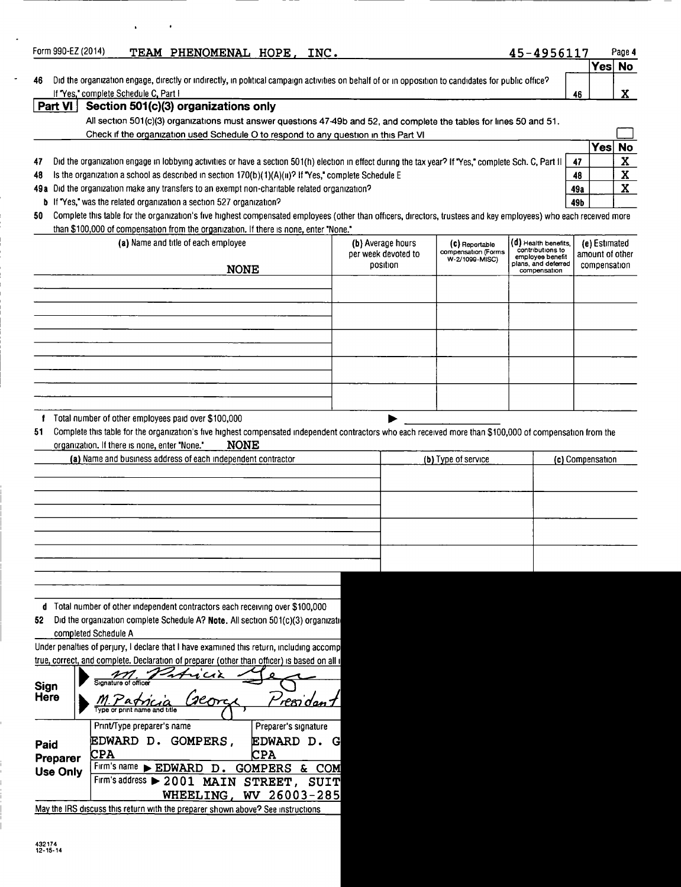|             | T TIETIONIENSE                                                                                                                                                    | 11 J L               |                                          |                                       | <b>*</b> フコハエエ /                         |     | Yes                              | <b>No</b>                |
|-------------|-------------------------------------------------------------------------------------------------------------------------------------------------------------------|----------------------|------------------------------------------|---------------------------------------|------------------------------------------|-----|----------------------------------|--------------------------|
| 46.         | Did the organization engage, directly or indirectly, in political campaign activities on behalf of or in opposition to candidates for public office?              |                      |                                          |                                       |                                          |     |                                  |                          |
|             | If 'Yes,' complete Schedule C, Part I                                                                                                                             |                      |                                          |                                       |                                          | 46  |                                  | X.                       |
| Part VI     | Section 501(c)(3) organizations only                                                                                                                              |                      |                                          |                                       |                                          |     |                                  |                          |
|             | All section 501(c)(3) organizations must answer questions 47-49b and 52, and complete the tables for lines 50 and 51.                                             |                      |                                          |                                       |                                          |     |                                  |                          |
|             | Check if the organization used Schedule O to respond to any question in this Part VI                                                                              |                      |                                          |                                       |                                          |     |                                  |                          |
|             |                                                                                                                                                                   |                      |                                          |                                       |                                          |     | Yes                              | <b>No</b>                |
| 47          | Did the organization engage in lobbying activities or have a section 501(h) election in effect during the tax year? If "Yes," complete Sch. C, Part II            |                      |                                          |                                       |                                          | 47  |                                  | $\mathbf{\underline{x}}$ |
| 48          | Is the organization a school as described in section 170(b)(1)(A)(ii)? If "Yes," complete Schedule E                                                              |                      |                                          |                                       |                                          | 48  |                                  | $\mathbf x$              |
|             | 49a Did the organization make any transfers to an exempt non-charitable related organization?                                                                     |                      |                                          |                                       |                                          | 49a |                                  | X                        |
|             | b If "Yes," was the related organization a section 527 organization?                                                                                              |                      |                                          |                                       |                                          | 49b |                                  |                          |
| 50          | Complete this table for the organization's five highest compensated employees (other than officers, directors, trustees and key employees) who each received more |                      |                                          |                                       |                                          |     |                                  |                          |
|             | than \$100,000 of compensation from the organization. If there is none, enter "None."                                                                             |                      |                                          |                                       |                                          |     |                                  |                          |
|             | (a) Name and title of each employee                                                                                                                               |                      | (b) Average hours<br>per week devoted to | (C) Reportable<br>compensation (Forms | (d) Health benefits,<br>contributions to |     | (e) Estimated<br>amount of other |                          |
|             |                                                                                                                                                                   |                      | position                                 | W-2/1099-MISC)                        | employee benefit<br>plans, and deferred  |     | compensation                     |                          |
|             |                                                                                                                                                                   | <b>NONE</b>          |                                          |                                       | compensation                             |     |                                  |                          |
|             |                                                                                                                                                                   |                      |                                          |                                       |                                          |     |                                  |                          |
|             |                                                                                                                                                                   |                      |                                          |                                       |                                          |     |                                  |                          |
|             |                                                                                                                                                                   |                      |                                          |                                       |                                          |     |                                  |                          |
|             |                                                                                                                                                                   |                      |                                          |                                       |                                          |     |                                  |                          |
|             |                                                                                                                                                                   |                      |                                          |                                       |                                          |     |                                  |                          |
|             |                                                                                                                                                                   |                      |                                          |                                       |                                          |     |                                  |                          |
|             |                                                                                                                                                                   |                      |                                          |                                       |                                          |     |                                  |                          |
|             |                                                                                                                                                                   |                      |                                          |                                       |                                          |     |                                  |                          |
|             |                                                                                                                                                                   |                      |                                          |                                       |                                          |     |                                  |                          |
| Ť           | Total number of other employees paid over \$100,000                                                                                                               |                      |                                          |                                       |                                          |     |                                  |                          |
| 51.         | Complete this table for the organization's five highest compensated independent contractors who each received more than \$100,000 of compensation from the        |                      |                                          |                                       |                                          |     |                                  |                          |
|             | organization. If there is none, enter "None."                                                                                                                     | <b>NONE</b>          |                                          |                                       |                                          |     |                                  |                          |
|             | (a) Name and business address of each independent contractor                                                                                                      |                      |                                          | (b) Type of service                   |                                          |     | (c) Compensation                 |                          |
|             |                                                                                                                                                                   |                      |                                          |                                       |                                          |     |                                  |                          |
|             |                                                                                                                                                                   |                      |                                          |                                       |                                          |     |                                  |                          |
|             |                                                                                                                                                                   |                      |                                          |                                       |                                          |     |                                  |                          |
|             |                                                                                                                                                                   |                      |                                          |                                       |                                          |     |                                  |                          |
|             |                                                                                                                                                                   |                      |                                          |                                       |                                          |     |                                  |                          |
|             |                                                                                                                                                                   |                      |                                          |                                       |                                          |     |                                  |                          |
|             |                                                                                                                                                                   |                      |                                          |                                       |                                          |     |                                  |                          |
|             |                                                                                                                                                                   |                      |                                          |                                       |                                          |     |                                  |                          |
|             |                                                                                                                                                                   |                      |                                          |                                       |                                          |     |                                  |                          |
|             | d Total number of other independent contractors each receiving over \$100,000                                                                                     |                      |                                          |                                       |                                          |     |                                  |                          |
| 52          | Did the organization complete Schedule A? Note. All section 501(c)(3) organization                                                                                |                      |                                          |                                       |                                          |     |                                  |                          |
|             | completed Schedule A                                                                                                                                              |                      |                                          |                                       |                                          |     |                                  |                          |
|             | Under penalties of perjury, I declare that I have examined this return, including accomp                                                                          |                      |                                          |                                       |                                          |     |                                  |                          |
|             | true, correct, and complete. Declaration of preparer (other than officer) is based on all i                                                                       |                      |                                          |                                       |                                          |     |                                  |                          |
|             |                                                                                                                                                                   |                      |                                          |                                       |                                          |     |                                  |                          |
| <b>Sign</b> |                                                                                                                                                                   |                      |                                          |                                       |                                          |     |                                  |                          |
| Here        | se                                                                                                                                                                | 'reesi'dan           |                                          |                                       |                                          |     |                                  |                          |
|             | it name and title                                                                                                                                                 |                      |                                          |                                       |                                          |     |                                  |                          |
|             | Print/Type preparer's name                                                                                                                                        | Preparer's signature |                                          |                                       |                                          |     |                                  |                          |
| Paid        | EDWARD D. GOMPERS,                                                                                                                                                | EDWARD D. G          |                                          |                                       |                                          |     |                                  |                          |
| Preparer    | CPA                                                                                                                                                               | <b>CPA</b>           |                                          |                                       |                                          |     |                                  |                          |

|  | _________ |  |
|--|-----------|--|
|  |           |  |
|  |           |  |

|                             | -- -<br>$-\nu$                                                                  |                         |
|-----------------------------|---------------------------------------------------------------------------------|-------------------------|
|                             | Signature of officer                                                            |                         |
| Sign<br>Here                | M. Patricia George                                                              | $\nu_{\text{res}}$ dant |
|                             | Print/Type preparer's name                                                      | Preparer's signature    |
| Paid                        | EDWARD D. GOMPERS,<br><b>CPA</b>                                                | EDWARD D. G<br>CPA      |
| Preparer<br><b>Use Only</b> | Firm's name > EDWARD D. GOMPERS & COM                                           |                         |
|                             | Firm's address > 2001 MAIN STREET, SUIT<br>WHEELING, WV 26003-285               |                         |
|                             | May the IRS discuss this return with the preparer shown above? See instructions |                         |

Ē.

 $\mathbf{r}$ 

 $\ddot{\phantom{a}}$ 

 $\mathcal{L}$ 

 $\bullet$ 

-

|  |  | :5-4956117 |  |  | Page |
|--|--|------------|--|--|------|
|  |  |            |  |  |      |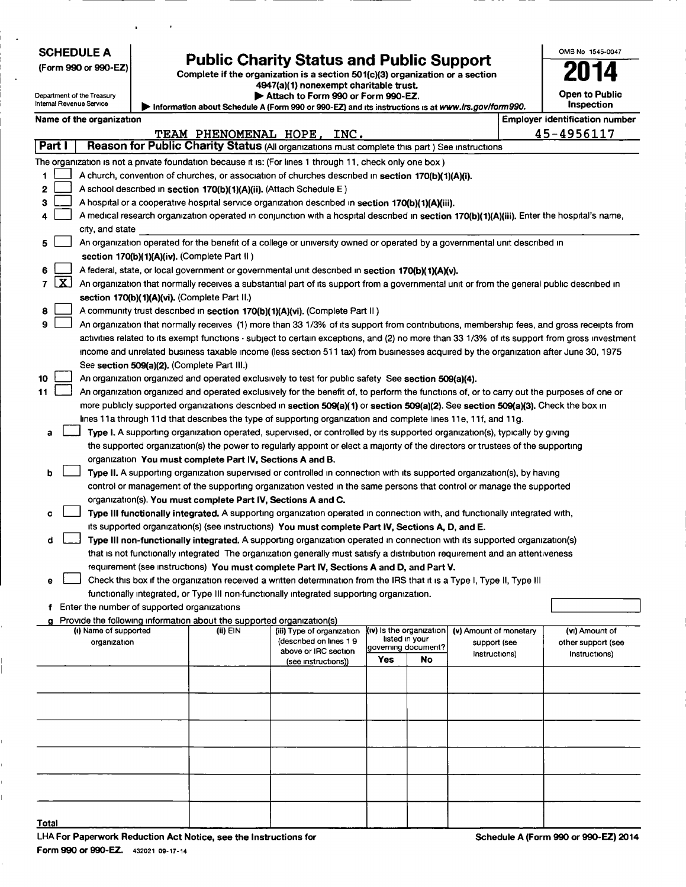| <b>SCHEDULE A</b> |                      |
|-------------------|----------------------|
|                   | (Form 990 or 990-EZ) |

# Public Charity Status and Public Support

Complete if the organization is a section 501(c)(3) organization or a section 2014 4947(a)(1) nonexempt charitable trust.

Department of the Treasury 1110- Attach to Form 990 or Form 990- EZ.<br>Internal Revenue Service

Information about Schedule A (Form 990 or 990-EZ) and its instructions is at www.*irs.gov/form990.* 

| OMB No 1545-0047                    |
|-------------------------------------|
| 2014                                |
| <b>Open to Public</b><br>Inspection |

|  | Name of the organization |  |
|--|--------------------------|--|

**Employer identification number** TEAM PHENOMENAL HOPE, INC.  $\vert$  45-4956117

Part I Reason for Public Charity Status (All organizations must complete this part) See instructions

| The organization is not a private foundation because it is: (For lines 1 through 11, check only one box) |  |
|----------------------------------------------------------------------------------------------------------|--|
| A church, convention of churches, or association of churches described in section 170(b)(1)(A)(i).       |  |

- 2  $\Box$  A school described in section 170(b)(1)(A)(ii). (Attach Schedule E)
- $3 \quad \boxed{\quad}$  A hospital or a cooperative hospital service organization described in section 170(b)(1)(A)(iii).
- 4 A medical research organization operated in conjunction with a hospital described in section 170(b)(1)(A)(iii). Enter the hospital's name, city, and state
- 5 An organization operated for the benefit of a college or university owned or operated by a governmental unit described in section 170(b)(1)(A)(iv). (Complete Part II)
- 6  $\Box$  A federal, state, or local government or governmental unit described in section 170(b)(1)(A)(v).
- $\lfloor \mathbf{X} \rfloor$  An organization that normally receives a substantial part of its support from a governmental unit or from the general public described in section 170(b)(1)(A)(vi). (Complete Part II.)
- A community trust described in section 170(b)(1)(A)(vi). (Complete Part II)
- 9 **An organization that normally receives** (1) more than 33 1/3% of its support from contributions, membership fees, and gross receipts from activities related to its exempt functions - subject to certain exceptions , and (2) no more than 33 1/3% of its support from gross investment income and unrelated business taxable income (less section 511 tax) from businesses acquired by the organization after June 30, 1975 See section 509(a)(2). (Complete Part III.)
- 10 An organization organized and operated exclusively to test for public safety See section 509(a)(4).
- 11  $\Box$  An organization organized and operated exclusively for the benefit of, to perform the functions of, or to carry out the purposes of one or more publicly supported organizations described in section 509(a)(1) or section 509(a)(2). See section 509(a)(3). Check the box in lines 11 a through 11d that describes the type of supporting organization and complete lines 11e, 11f, and 11g.
	- Type I. A supporting organization operated, supervised, or controlled by its supported organization(s), typically by giving the supported organization(s) the power to regularly appoint or elect a majority of the directors or trustees of the supporting organization You must complete Part IV, Sections A and B.
	- Type II. A supporting organization supervised or controlled in connection with its supported organization(s), by having control or management of the supporting organization vested in the same persons that control or manage the supported organization(s). You must complete Part IV, Sections A and C.
	- $c \Box$  Type III functionally integrated. A supporting organization operated in connection with, and functionally integrated with, its supported organization(s) (see instructions) You must complete Part IV, Sections A, D, and E.
	- d Type III non-functionally integrated . A supporting organization operated in connection with its supported organization(s) that is not functionally integrated The organization generally must satisfy a distribution requirement and an attentiveness requirement (see instructions) You must complete Part IV, Sections A and D, and Part V.
	- Check this box if the organization received a written determination from the IRS that it is a Type I, Type II, Type III functionally integrated, or Type III non-functionally integrated supporting organization.
- Enter the number of supported organizations
- Provide the following information about the supported organization(s)

| (i) Name of supported<br>organization | $(ii)$ EIN | (iii) Type of organization<br>(described on lines 19<br>above or IRC section<br>(see instructions)) |  | (iv) is the organization<br>listed in your<br>governing document?<br><b>No</b> | (v) Amount of monetary<br>support (see<br>instructions) | (vi) Amount of<br>other support (see<br>Instructions) |
|---------------------------------------|------------|-----------------------------------------------------------------------------------------------------|--|--------------------------------------------------------------------------------|---------------------------------------------------------|-------------------------------------------------------|
|                                       |            |                                                                                                     |  |                                                                                |                                                         |                                                       |
|                                       |            |                                                                                                     |  |                                                                                |                                                         |                                                       |
|                                       |            |                                                                                                     |  |                                                                                |                                                         |                                                       |
|                                       |            |                                                                                                     |  |                                                                                |                                                         |                                                       |
|                                       |            |                                                                                                     |  |                                                                                |                                                         |                                                       |
| Total                                 |            |                                                                                                     |  |                                                                                |                                                         |                                                       |

LHA For Paperwork Reduction Act Notice, see the Instructions for Schedule A (Form 990 or 990-EZ) 2014 Form 990 or 990-EZ. <sup>432021</sup> 0e-17-14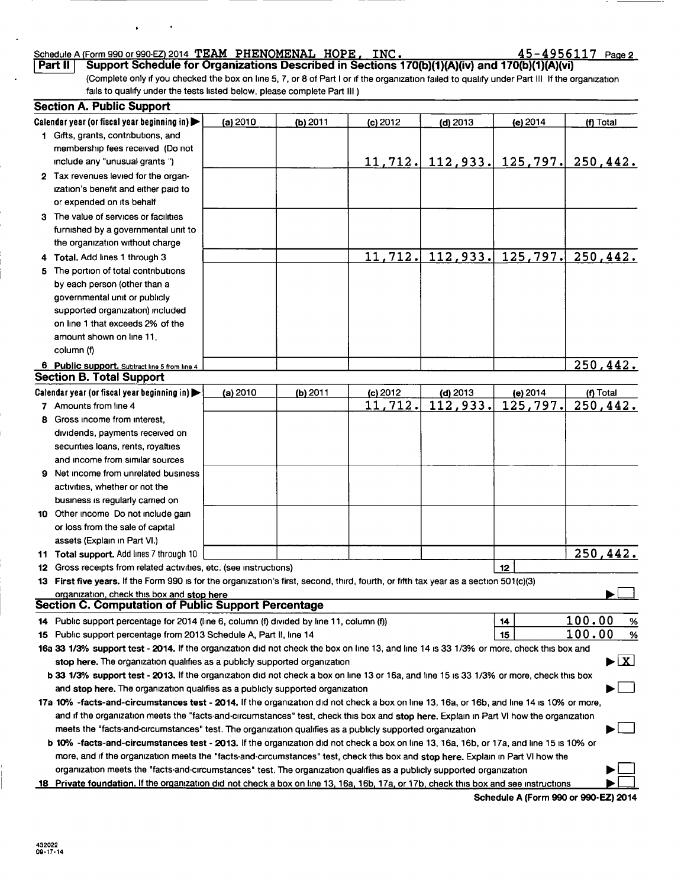| Schedule A (Form 990 or 990-EZ) 2014 $\textbf{TEM}$ PHENOMENAL HOPE, | INC. | 45-4956117<br>Page 2 |
|----------------------------------------------------------------------|------|----------------------|
|                                                                      |      |                      |

Part II| Support Schedule for Organizations Described in Sections 170(b)(1)(A)(iv) and 170(b)(1)(A)(vi) (Complete only if you checked the box on line 5, 7, or 8 of Part <sup>I</sup> or if the organization failed to qualify under Part III If the organization fails to qualify under the tests listed below, please complete Part III )

|    | <b>Section A. Public Support</b>                                                                                                           |          |            |            |                                           |                 |                                          |
|----|--------------------------------------------------------------------------------------------------------------------------------------------|----------|------------|------------|-------------------------------------------|-----------------|------------------------------------------|
|    | Calendar year (or fiscal year beginning in)                                                                                                | (a) 2010 | $(b)$ 2011 | $(c)$ 2012 | $(d)$ 2013                                | (e) 2014        | (f) Total                                |
|    | 1 Gifts, grants, contributions, and                                                                                                        |          |            |            |                                           |                 |                                          |
|    | membership fees received (Do not                                                                                                           |          |            |            |                                           |                 |                                          |
|    | include any "unusual grants")                                                                                                              |          |            |            | <u>11, 712.   112, 933.   125, 797.  </u> |                 | 250, 442.                                |
|    | 2 Tax revenues levied for the organ-                                                                                                       |          |            |            |                                           |                 |                                          |
|    | ization's benefit and either paid to                                                                                                       |          |            |            |                                           |                 |                                          |
|    | or expended on its behalf                                                                                                                  |          |            |            |                                           |                 |                                          |
|    | 3 The value of services or facilities                                                                                                      |          |            |            |                                           |                 |                                          |
|    | furnished by a governmental unit to                                                                                                        |          |            |            |                                           |                 |                                          |
|    | the organization without charge                                                                                                            |          |            |            |                                           |                 |                                          |
|    | Total. Add lines 1 through 3                                                                                                               |          |            | 11, 712.   | 112,933.                                  | 125, 797.       | 250,442.                                 |
| 5. | The portion of total contributions                                                                                                         |          |            |            |                                           |                 |                                          |
|    | by each person (other than a                                                                                                               |          |            |            |                                           |                 |                                          |
|    | governmental unit or publicly                                                                                                              |          |            |            |                                           |                 |                                          |
|    | supported organization) included                                                                                                           |          |            |            |                                           |                 |                                          |
|    | on line 1 that exceeds 2% of the                                                                                                           |          |            |            |                                           |                 |                                          |
|    | amount shown on line 11.                                                                                                                   |          |            |            |                                           |                 |                                          |
|    | column (f)                                                                                                                                 |          |            |            |                                           |                 |                                          |
|    | 6 Public support. Subtract line 5 from line 4                                                                                              |          |            |            |                                           |                 | 250,442.                                 |
|    | <b>Section B. Total Support</b>                                                                                                            |          |            |            |                                           |                 |                                          |
|    | Calendar year (or fiscal year beginning in) $\blacktriangleright$                                                                          | (a) 2010 | (b) 2011   | $(c)$ 2012 | $(d)$ 2013                                | (e) 2014        | (f) Total                                |
|    | 7 Amounts from line 4                                                                                                                      |          |            | 11,712.    | 112,933.                                  | 125,797.        | 250,442.                                 |
|    | 8 Gross income from interest,                                                                                                              |          |            |            |                                           |                 |                                          |
|    | dividends, payments received on                                                                                                            |          |            |            |                                           |                 |                                          |
|    | secunties loans, rents, royalties                                                                                                          |          |            |            |                                           |                 |                                          |
|    | and income from similar sources                                                                                                            |          |            |            |                                           |                 |                                          |
| 9. | Net income from unrelated business                                                                                                         |          |            |            |                                           |                 |                                          |
|    | activities, whether or not the                                                                                                             |          |            |            |                                           |                 |                                          |
|    | business is regularly carried on                                                                                                           |          |            |            |                                           |                 |                                          |
|    | 10 Other income Do not include gain                                                                                                        |          |            |            |                                           |                 |                                          |
|    | or loss from the sale of capital                                                                                                           |          |            |            |                                           |                 |                                          |
|    | assets (Explain in Part VI.)                                                                                                               |          |            |            |                                           |                 |                                          |
|    | 11 Total support. Add lines 7 through 10                                                                                                   |          |            |            |                                           |                 | 250,442.                                 |
|    | 12 Gross receipts from related activities, etc. (see instructions)                                                                         |          |            |            |                                           | 12 <sup>2</sup> |                                          |
|    | 13 First five years. If the Form 990 is for the organization's first, second, third, fourth, or fifth tax year as a section 501(c)(3)      |          |            |            |                                           |                 |                                          |
|    | organization, check this box and stop here                                                                                                 |          |            |            |                                           |                 |                                          |
|    | <b>Section C. Computation of Public Support Percentage</b>                                                                                 |          |            |            |                                           |                 |                                          |
|    | 14 Public support percentage for 2014 (line 6, column (f) divided by line 11, column (f))                                                  |          |            |            |                                           | 14              | 100.00<br><u>%</u>                       |
|    | 15 Public support percentage from 2013 Schedule A, Part II, line 14                                                                        |          |            |            |                                           | 15              | 100.00<br>%                              |
|    | 16a 33 1/3% support test - 2014. If the organization did not check the box on line 13, and line 14 is 33 1/3% or more, check this box and  |          |            |            |                                           |                 |                                          |
|    | stop here. The organization qualifies as a publicly supported organization                                                                 |          |            |            |                                           |                 | $\blacktriangleright$ $\boxed{\text{X}}$ |
|    | b 33 1/3% support test - 2013. If the organization did not check a box on line 13 or 16a, and line 15 is 33 1/3% or more, check this box   |          |            |            |                                           |                 |                                          |
|    | and stop here. The organization qualifies as a publicly supported organization                                                             |          |            |            |                                           |                 |                                          |
|    | 17a 10% -facts-and-circumstances test - 2014. If the organization did not check a box on line 13, 16a, or 16b, and line 14 is 10% or more, |          |            |            |                                           |                 |                                          |
|    | and if the organization meets the "facts-and-circumstances" test, check this box and stop here. Explain in Part VI how the organization    |          |            |            |                                           |                 |                                          |
|    | meets the "facts-and-circumstances" test. The organization qualifies as a publicly supported organization                                  |          |            |            |                                           |                 |                                          |
|    | b 10% -facts-and-circumstances test - 2013. If the organization did not check a box on line 13, 16a, 16b, or 17a, and line 15 is 10% or    |          |            |            |                                           |                 |                                          |
|    | more, and if the organization meets the "facts-and-circumstances" test, check this box and stop here. Explain in Part VI how the           |          |            |            |                                           |                 |                                          |
|    | organization meets the "facts-and-circumstances" test. The organization qualifies as a publicly supported organization                     |          |            |            |                                           |                 |                                          |
|    | 18 Private foundation. If the organization did not check a box on line 13, 16a, 16b, 17a, or 17b, check this box and see instructions      |          |            |            |                                           |                 |                                          |

Schedule A (Form 990 or 990-EZ) 2014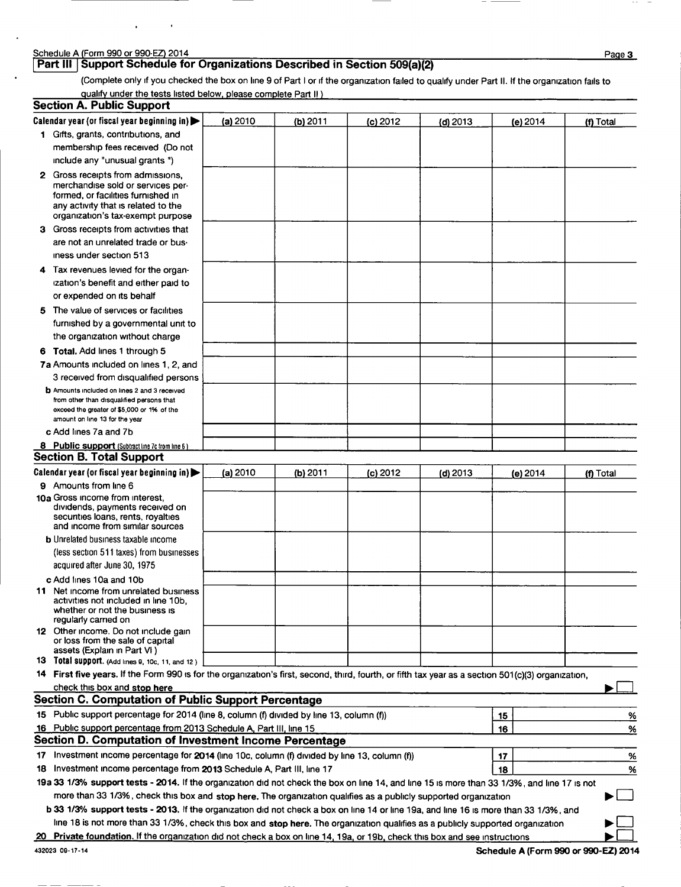#### Schedule A (Form 990 or 990-EZ) 2014 **Page 3**

#### Part III | Support Schedule for Organizations Described in Section 509(a)(2)

(Complete only if you checked the box on line 9 of Part <sup>I</sup> or if the organization failed to qualify under Part II. If the organization fails to qualify under the tests listed below, please complete Part II )

## Section A. Public Support

|    | Calendar year (or fiscal year beginning in) $\blacktriangleright$                                                                                   | (a) $2010$ | $(b)$ 2011 | $(c)$ 2012 | (d) 2013   |    | (e) 2014 | (f) Total   |   |
|----|-----------------------------------------------------------------------------------------------------------------------------------------------------|------------|------------|------------|------------|----|----------|-------------|---|
|    | 1 Gifts, grants, contributions, and                                                                                                                 |            |            |            |            |    |          |             |   |
|    | membership fees received (Do not                                                                                                                    |            |            |            |            |    |          |             |   |
|    | include any "unusual grants")                                                                                                                       |            |            |            |            |    |          |             |   |
|    | 2 Gross receipts from admissions,                                                                                                                   |            |            |            |            |    |          |             |   |
|    | merchandise sold or services per-                                                                                                                   |            |            |            |            |    |          |             |   |
|    | formed, or facilities furnished in                                                                                                                  |            |            |            |            |    |          |             |   |
|    | any activity that is related to the                                                                                                                 |            |            |            |            |    |          |             |   |
|    | organization's tax-exempt purpose                                                                                                                   |            |            |            |            |    |          |             |   |
|    | 3 Gross receipts from activities that                                                                                                               |            |            |            |            |    |          |             |   |
|    | are not an unrelated trade or bus-                                                                                                                  |            |            |            |            |    |          |             |   |
|    | iness under section 513                                                                                                                             |            |            |            |            |    |          |             |   |
|    | 4 Tax revenues levied for the organ-                                                                                                                |            |            |            |            |    |          |             |   |
|    | ization's benefit and either paid to                                                                                                                |            |            |            |            |    |          |             |   |
|    | or expended on its behalf                                                                                                                           |            |            |            |            |    |          |             |   |
|    | 5 The value of services or facilities                                                                                                               |            |            |            |            |    |          |             |   |
|    |                                                                                                                                                     |            |            |            |            |    |          |             |   |
|    | furnished by a governmental unit to                                                                                                                 |            |            |            |            |    |          |             |   |
|    | the organization without charge                                                                                                                     |            |            |            |            |    |          |             |   |
|    | 6 Total, Add lines 1 through 5                                                                                                                      |            |            |            |            |    |          |             |   |
|    | 7a Amounts included on lines 1, 2, and                                                                                                              |            |            |            |            |    |          |             |   |
|    | 3 received from disqualified persons                                                                                                                |            |            |            |            |    |          |             |   |
|    | <b>b</b> Amounts included on lines 2 and 3 received                                                                                                 |            |            |            |            |    |          |             |   |
|    | from other than disqualified persons that                                                                                                           |            |            |            |            |    |          |             |   |
|    | exceed the greater of \$5,000 or 1% of the<br>amount on line 13 for the year                                                                        |            |            |            |            |    |          |             |   |
|    | c Add lines 7a and 7b                                                                                                                               |            |            |            |            |    |          |             |   |
|    | 8 Public support (Subtract line 7c from line 6)                                                                                                     |            |            |            |            |    |          |             |   |
|    | <b>Section B. Total Support</b>                                                                                                                     |            |            |            |            |    |          |             |   |
|    | Calendar year (or fiscal year beginning in) $\blacktriangleright$                                                                                   | (a) 2010   | $(b)$ 2011 | $(c)$ 2012 | $(d)$ 2013 |    | (e) 2014 | $(f)$ Total |   |
|    | 9 Amounts from line 6                                                                                                                               |            |            |            |            |    |          |             |   |
|    | 10a Gross income from interest.                                                                                                                     |            |            |            |            |    |          |             |   |
|    | dividends, payments received on                                                                                                                     |            |            |            |            |    |          |             |   |
|    | secunties loans, rents, royalties                                                                                                                   |            |            |            |            |    |          |             |   |
|    | and income from similar sources                                                                                                                     |            |            |            |            |    |          |             |   |
|    | <b>b</b> Unrelated business taxable income                                                                                                          |            |            |            |            |    |          |             |   |
|    | (less section 511 taxes) from businesses                                                                                                            |            |            |            |            |    |          |             |   |
|    | acquired after June 30, 1975                                                                                                                        |            |            |            |            |    |          |             |   |
|    | c Add lines 10a and 10b                                                                                                                             |            |            |            |            |    |          |             |   |
| 11 | Net income from unrelated business                                                                                                                  |            |            |            |            |    |          |             |   |
|    | activities not included in line 10b,                                                                                                                |            |            |            |            |    |          |             |   |
|    | whether or not the business is                                                                                                                      |            |            |            |            |    |          |             |   |
|    | regularly carned on<br>12 Other income. Do not include gain                                                                                         |            |            |            |            |    |          |             |   |
|    | or loss from the sale of capital                                                                                                                    |            |            |            |            |    |          |             |   |
|    | assets (Explain in Part VI)                                                                                                                         |            |            |            |            |    |          |             |   |
|    | 13 Total support. (Add lines 9, 10c, 11, and 12)                                                                                                    |            |            |            |            |    |          |             |   |
|    | 14 First five years. If the Form 990 is for the organization's first, second, third, fourth, or fifth tax year as a section 501(c)(3) organization, |            |            |            |            |    |          |             |   |
|    | check this box and stop here                                                                                                                        |            |            |            |            |    |          |             |   |
|    | <b>Section C. Computation of Public Support Percentage</b>                                                                                          |            |            |            |            |    |          |             |   |
|    | 15 Public support percentage for 2014 (line 8, column (f) divided by line 13, column (f))                                                           |            |            |            |            | 15 |          |             | % |
|    | 16 Public support percentage from 2013 Schedule A, Part III, line 15<br>16                                                                          |            |            |            |            |    |          |             | % |
|    | <b>Section D. Computation of Investment Income Percentage</b>                                                                                       |            |            |            |            |    |          |             |   |
|    | 17 Investment income percentage for 2014 (line 10c, column (f) divided by line 13, column (f))<br>17                                                |            |            |            |            |    |          |             | % |
|    | 18 Investment income percentage from 2013 Schedule A, Part III, line 17<br>18                                                                       |            |            |            |            |    |          |             | % |
|    | 19a 33 1/3% support tests - 2014. If the organization did not check the box on line 14, and line 15 is more than 33 1/3%, and line 17 is not        |            |            |            |            |    |          |             |   |
|    | more than 33 1/3%, check this box and stop here. The organization qualifies as a publicly supported organization                                    |            |            |            |            |    |          |             |   |
|    | b 33 1/3% support tests - 2013. If the organization did not check a box on line 14 or line 19a, and line 16 is more than 33 1/3%, and               |            |            |            |            |    |          |             |   |
|    | line 18 is not more than 33 1/3%, check this box and stop here. The organization qualifies as a publicly supported organization                     |            |            |            |            |    |          |             |   |
|    |                                                                                                                                                     |            |            |            |            |    |          |             |   |
|    | 20 Private foundation. If the organization did not check a box on line 14, 19a, or 19b, check this box and see instructions                         |            |            |            |            |    |          |             |   |

<sup>432023</sup> 09-17 - <sup>14</sup> Schedule A (Form 990 or 990-FZ) 2014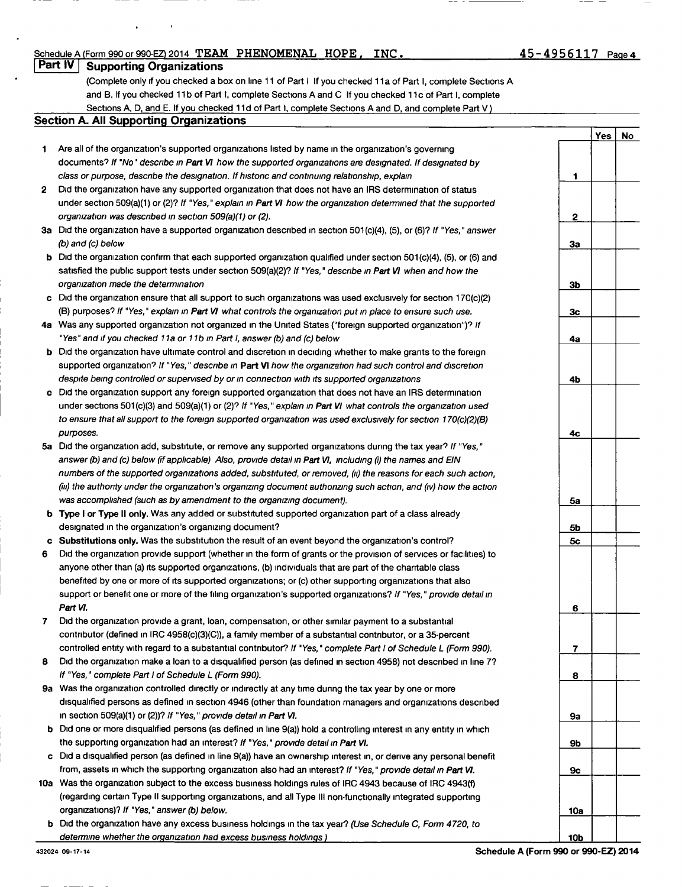# Schedule A (Form 990 or 990-EZ) 2014 TEAM PHENOMENAL HOPE, INC. 45 1995 1999 1999 4 4 45-4956117 Page 4 5 2014<br>| Part IV | Sunnorting Organizations

No

Yes

### **Supporting Organizations**

(Complete only if you checked a box on line <sup>11</sup> of Part <sup>I</sup> If you checked <sup>11</sup> a of Part I, complete Sections A and B. If you checked 11b of Part I, complete Sections A and C If you checked 11c of Part I, complete Sections A, D, and E. If you checked 11d of Part I, complete Sections A and D, and complete Part V)

#### Section A. All Supporting Organizations

- <sup>1</sup> Are all of the organization's supported organizations listed by name in the organization's governing documents? If "No" describe in Part VI how the supported organizations are designated. If designated by class or purpose, descnbe the designation. If histonc and continuing relationship, explain
- 2 Did the organization have any supported organization that does not have an IRS determination of status under section 509(a)(1) or (2)? If "Yes," explain in Part VI how the organization determined that the supported organization was descnbed in section 509(a)(1) or (2).
- 3a Did the organization have a supported organization described in section 501(c)(4), (5), or (6)? If "Yes," answer (b) and (c) below
- b Did the organization confirm that each supported organization qualified under section 501 (c)(4), (5), or (6) and satisfied the public support tests under section 509(a)(2)? If "Yes," describe in Part VI when and how the organization made the determination
- c Did the organization ensure that all support to such organizations was used exclusively for section 170(c)(2) (B) purposes? If "Yes," explain in Part VI what controls the organization put in place to ensure such use.
- 4a Was any supported organization not organized in the United States ("foreign supported organization")? If "Yes" and if you checked 11a or 11b in Part I, answer (b) and (c) below
- b Did the organization have ultimate control and discretion in deciding whether to make grants to the foreign supported organization? If "Yes," describe in Part VI how the organization had such control and discretion despite being controlled or supervised by or in connection with its supported organizations
- c Did the organization support any foreign supported organization that does not have an IRS determination under sections 501(c)(3) and 509(a)(1) or (2)? If "Yes," explain in Part VI what controls the organization used to ensure that all support to the foreign supported organization was used exclusively for section 170(c)(2)(B) purposes.
- 5a Did the organization add, substitute, or remove any supported organizations during the tax year? If "Yes, " answer (b) and (c) below (if applicable) Also, provide detail in Part VI, including (i) the names and EIN numbers of the supported organizations added, substituted, or removed, (u) the reasons for each such action, (iu) the authonty under the organization's organizing document authonzing such action, and (iv) how the action was accomplished (such as by amendment to the organizing document).
- b Type I or Type II only. Was any added or substituted supported organization part of a class already designated in the organization's organizing document?
- c Substitutions only. Was the substitution the result of an event beyond the organization's control?
- 6 Did the organization provide support (whether in the form of grants or the provision of services or facilities) to anyone other than (a) its supported organizations, (b) individuals that are part of the chantable class benefited by one or more of its supported organizations; or (c) other supporting organizations that also support or benefit one or more of the filing organization's supported organizations? If "Yes," provide detail in Part VI.
- 7 Did the organization provide a grant, loan, compensation, or other similar payment to a substantial contributor (defined in IRC 4958(c)(3)(C)), a family member of a substantial contributor, or a 35-percent controlled entity with regard to a substantial contributor? If "Yes," complete Part I of Schedule L (Form 990).
- 8 Did the organization make a loan to a disqualified person (as defined in section 4958) not described in line 7? If "Yes," complete Part <sup>I</sup> of Schedule L (Form 990).
- 9a Was the organization controlled directly or indirectly at any time during the tax year by one or more disqualified persons as defined in section 4946 (other than foundation managers and organizations described in section 509(a)(1) or (2))? If "Yes," provide detail in Part VI.
- b Did one or more disqualified persons (as defined in line 9(a)) hold a controlling interest in any entity in which the supporting organization had an interest? If "Yes," provide detail in Part VI.
- c Did a disqualified person (as defined in line 9(a)) have an ownership interest in, or derive any personal benefit from, assets in which the supporting organization also had an interest? If "Yes," provide detail in Part VI.
- 10a Was the organization subject to the excess business holdings rules of IRC 4943 because of IRC 4943(f) (regarding certain Type II supporting organizations, and all Type III non-functionally integrated supporting organizations)? If "Yes," answer (b) below.
	- b Did the organization have any excess business holdings in the tax year? (Use Schedule C, Form 4720, to determine whether the organization had excess business holdings)

 $\blacksquare$  $\overline{2}$  $3a$ 3b 3c 4a 4b 4c 5a 5b  $5c$ 6  $\overline{7}$ 8 9a 9b 9c

 $10a$ 

 $10<sub>h</sub>$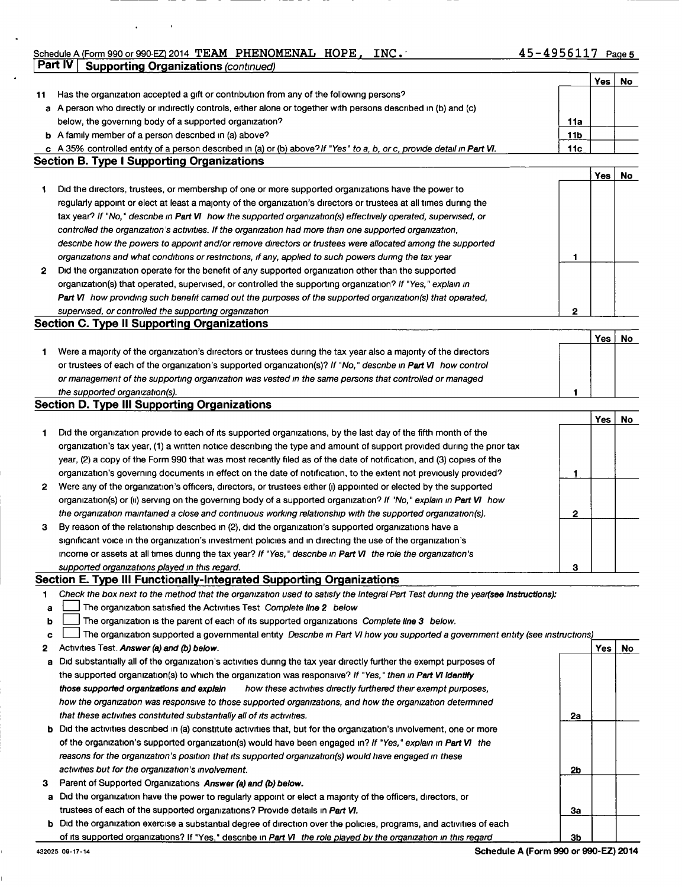# Schedule A (Form 990 or 990 EZ) 2014 TEAM PHENOMENAL HOPE, INC.<br>Part IV | Supporting Organizations (continued)

 $\sim 100$ 

 $\Delta \sim 10$ 

 $\ddot{\phantom{a}}$ 

# 45-4956117 Page 5

|        |                                                                                                                                                                |                 | Yes | No |
|--------|----------------------------------------------------------------------------------------------------------------------------------------------------------------|-----------------|-----|----|
| 11     | Has the organization accepted a gift or contribution from any of the following persons?                                                                        |                 |     |    |
|        | a A person who directly or indirectly controls, either alone or together with persons described in (b) and (c)                                                 |                 |     |    |
|        | below, the governing body of a supported organization?                                                                                                         | 11a             |     |    |
|        | <b>b</b> A family member of a person described in (a) above?                                                                                                   | 11 <sub>b</sub> |     |    |
|        | c A 35% controlled entity of a person described in (a) or (b) above? If "Yes" to a, b, or c, provide detail in Part VI.                                        | 11c             |     |    |
|        | <b>Section B. Type I Supporting Organizations</b>                                                                                                              |                 |     |    |
|        |                                                                                                                                                                |                 | Yes | No |
| 1      | Did the directors, trustees, or membership of one or more supported organizations have the power to                                                            |                 |     |    |
|        | regularly appoint or elect at least a majority of the organization's directors or trustees at all times during the                                             |                 |     |    |
|        | tax year? If "No," describe in Part VI how the supported organization(s) effectively operated, supervised, or                                                  |                 |     |    |
|        | controlled the organization's activities. If the organization had more than one supported organization,                                                        |                 |     |    |
|        | describe how the powers to appoint and/or remove directors or trustees were allocated among the supported                                                      |                 |     |    |
|        | organizations and what conditions or restrictions, if any, applied to such powers during the tax year                                                          | 1               |     |    |
| 2      | Did the organization operate for the benefit of any supported organization other than the supported                                                            |                 |     |    |
|        | organization(s) that operated, supervised, or controlled the supporting organization? If "Yes," explain in                                                     |                 |     |    |
|        | Part VI how providing such benefit carned out the purposes of the supported organization(s) that operated,                                                     |                 |     |    |
|        | supervised, or controlled the supporting organization                                                                                                          | $\mathbf{2}$    |     |    |
|        | <b>Section C. Type II Supporting Organizations</b>                                                                                                             |                 |     |    |
|        |                                                                                                                                                                |                 | Yes | No |
| 1      | Were a majority of the organization's directors or trustees during the tax year also a majority of the directors                                               |                 |     |    |
|        | or trustees of each of the organization's supported organization(s)? If "No," describe in Part VI how control                                                  |                 |     |    |
|        | or management of the supporting organization was vested in the same persons that controlled or managed                                                         |                 |     |    |
|        | the supported organization(s).                                                                                                                                 | 1               |     |    |
|        | <b>Section D. Type III Supporting Organizations</b>                                                                                                            |                 |     |    |
|        |                                                                                                                                                                |                 | Yes | No |
| 1      | Did the organization provide to each of its supported organizations, by the last day of the fifth month of the                                                 |                 |     |    |
|        | organization's tax year, (1) a written notice describing the type and amount of support provided during the prior tax                                          |                 |     |    |
|        | year, (2) a copy of the Form 990 that was most recently filed as of the date of notification, and (3) copies of the                                            |                 |     |    |
|        | organization's governing documents in effect on the date of notification, to the extent not previously provided?                                               | 1.              |     |    |
| 2      | Were any of the organization's officers, directors, or trustees either (i) appointed or elected by the supported                                               |                 |     |    |
|        | organization(s) or (ii) serving on the governing body of a supported organization? If "No," explain in Part VI how                                             |                 |     |    |
|        | the organization maintained a close and continuous working relationship with the supported organization(s).                                                    | $\mathbf{2}$    |     |    |
| 3      | By reason of the relationship described in (2), did the organization's supported organizations have a                                                          |                 |     |    |
|        | significant voice in the organization's investment policies and in directing the use of the organization's                                                     |                 |     |    |
|        |                                                                                                                                                                |                 |     |    |
|        | income or assets at all times during the tax year? If "Yes," describe in Part VI the role the organization's<br>supported organizations played in this regard. | з               |     |    |
|        | Section E. Type III Functionally-Integrated Supporting Organizations                                                                                           |                 |     |    |
| 1      | Check the box next to the method that the organization used to satisfy the Integral Part Test during the year(see Instructions):                               |                 |     |    |
| a      | The organization satisfied the Activities Test Complete line 2 below                                                                                           |                 |     |    |
| b      | The organization is the parent of each of its supported organizations Complete line 3 below.                                                                   |                 |     |    |
|        | The organization supported a governmental entity Describe in Part VI how you supported a government entity (see instructions)                                  |                 |     |    |
| c<br>2 | Activities Test. Answer (a) and (b) below.                                                                                                                     |                 | Yes | No |
| а      | Did substantially all of the organization's activities during the tax year directly further the exempt purposes of                                             |                 |     |    |
|        | the supported organization(s) to which the organization was responsive? If "Yes," then in Part VI Identify                                                     |                 |     |    |
|        | those supported organizations and explain<br>how these activities directly furthered their exempt purposes,                                                    |                 |     |    |
|        | how the organization was responsive to those supported organizations, and how the organization determined                                                      |                 |     |    |
|        | that these activities constituted substantially all of its activities.                                                                                         | 2a              |     |    |
|        | <b>b</b> Did the activities described in (a) constitute activities that, but for the organization's involvement, one or more                                   |                 |     |    |
|        | of the organization's supported organization(s) would have been engaged in? If "Yes," explain in Part VI the                                                   |                 |     |    |
|        | reasons for the organization's position that its supported organization(s) would have engaged in these                                                         |                 |     |    |
|        |                                                                                                                                                                |                 |     |    |
|        | activities but for the organization's involvement.                                                                                                             | 2 <sub>b</sub>  |     |    |
| з      | Parent of Supported Organizations Answer (a) and (b) below.                                                                                                    |                 |     |    |
|        | a Did the organization have the power to regularly appoint or elect a majority of the officers, directors, or                                                  |                 |     |    |
|        | trustees of each of the supported organizations? Provide details in <i>Part VI.</i>                                                                            | За              |     |    |
|        | <b>b</b> Did the organization exercise a substantial degree of direction over the policies, programs, and activities of each                                   |                 |     |    |
|        | of its supported organizations? If "Yes," describe in Part VI the role played by the organization in this regard                                               | Зb              |     |    |
|        | Schedule A (Form 990 or 990-EZ) 2014<br>432025 09-17-14                                                                                                        |                 |     |    |

Ē.

L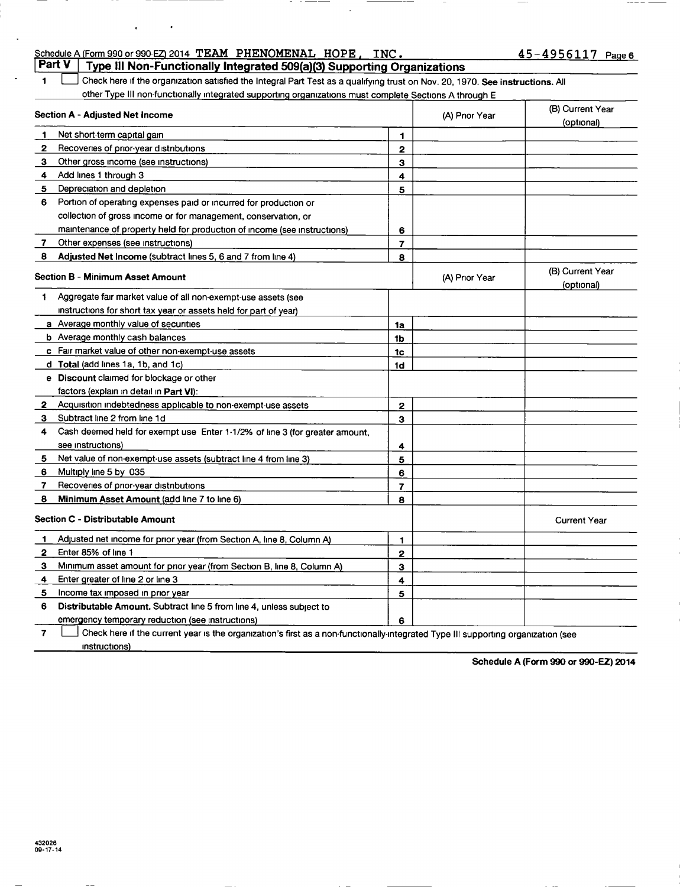| Part V                  | Type III Non-Functionally Integrated 509(a)(3) Supporting Organizations                                                           |              |                |                                |
|-------------------------|-----------------------------------------------------------------------------------------------------------------------------------|--------------|----------------|--------------------------------|
|                         | Check here if the organization satisfied the Integral Part Test as a qualifying trust on Nov. 20, 1970. See instructions. All     |              |                |                                |
|                         | other Type III non-functionally integrated supporting organizations must complete Sections A through E                            |              |                |                                |
|                         | Section A - Adjusted Net Income                                                                                                   |              | (A) Prior Year | (B) Current Year<br>(optional) |
|                         | Net short-term capital gain                                                                                                       | 1            |                |                                |
| 2                       | Recoveries of prior-year distributions                                                                                            | $\mathbf{2}$ |                |                                |
| з                       | Other gross income (see instructions)                                                                                             | з            |                |                                |
| 4                       | Add lines 1 through 3                                                                                                             | 4            |                |                                |
| 5                       | Depreciation and depletion                                                                                                        | 5            |                |                                |
| 6                       | Portion of operating expenses paid or incurred for production or                                                                  |              |                |                                |
|                         | collection of gross income or for management, conservation, or                                                                    |              |                |                                |
|                         | maintenance of property held for production of income (see instructions)                                                          | 6            |                |                                |
| 7                       | Other expenses (see instructions)                                                                                                 | 7            |                |                                |
| 8                       | Adjusted Net Income (subtract lines 5, 6 and 7 from line 4)                                                                       | 8            |                |                                |
|                         | <b>Section B - Minimum Asset Amount</b>                                                                                           |              | (A) Prior Year | (B) Current Year<br>(optional) |
| 1                       | Aggregate fair market value of all non-exempt-use assets (see                                                                     |              |                |                                |
|                         | instructions for short tax year or assets held for part of year)                                                                  |              |                |                                |
|                         | a Average monthly value of securities                                                                                             | 1a           |                |                                |
|                         | <b>b</b> Average monthly cash balances                                                                                            | 1b           |                |                                |
|                         | c Fair market value of other non-exempt-use assets                                                                                | 1c           |                |                                |
|                         | d Total (add lines 1a, 1b, and 1c)                                                                                                | 1d           |                |                                |
|                         | e Discount claimed for blockage or other                                                                                          |              |                |                                |
|                         | factors (explain in detail in Part VI):                                                                                           |              |                |                                |
| 2                       | Acquisition indebtedness applicable to non-exempt-use assets                                                                      | 2            |                |                                |
| 3                       | Subtract line 2 from line 1d                                                                                                      | З            |                |                                |
| 4                       | Cash deemed held for exempt use Enter 1-1/2% of line 3 (for greater amount,                                                       |              |                |                                |
|                         | see instructions)                                                                                                                 | 4            |                |                                |
| 5                       | Net value of non-exempt-use assets (subtract line 4 from line 3)                                                                  | 5            |                |                                |
| 6                       | Multiply line 5 by 035                                                                                                            | 6            |                |                                |
| 7                       | Recoveries of prior-year distributions                                                                                            | 7            |                |                                |
| 8                       | Minimum Asset Amount (add line 7 to line 6)                                                                                       | 8            |                |                                |
|                         | <b>Section C - Distributable Amount</b>                                                                                           |              |                | <b>Current Year</b>            |
|                         | Adjusted net income for prior year (from Section A, line 8, Column A)                                                             | 1            |                |                                |
| 2                       | Enter 85% of line 1                                                                                                               | 2            |                |                                |
| 3                       | Minimum asset amount for prior year (from Section B, line 8, Column A)                                                            | з            |                |                                |
| 4                       | Enter greater of line 2 or line 3                                                                                                 | 4            |                |                                |
| 5                       | Income tax imposed in prior year                                                                                                  | 5            |                |                                |
| 6                       | Distributable Amount. Subtract line 5 from line 4, unless subject to                                                              |              |                |                                |
|                         | emergency temporary reduction (see instructions)                                                                                  | 6            |                |                                |
| $\overline{\mathbf{r}}$ | Check here if the current year is the organization's first as a non-functionally-integrated Type III supporting organization (see |              |                |                                |
|                         | instructions)                                                                                                                     |              |                |                                |

 $\sim$   $\sim$   $\sim$   $\sim$   $\sim$   $\sim$ 

 $\Delta$ 

\_\_\_\_\_\_

 $\langle \rangle$ 

 $-$ 

 $\ddot{\phantom{a}}$ 

 $\sim$ 

45-4956117 Page 6

 $\overline{\phantom{a}}$ 

 $\overline{\phantom{a}}$ 

Schedule A (Form 990 or 990-EZ) 2014

 $- -$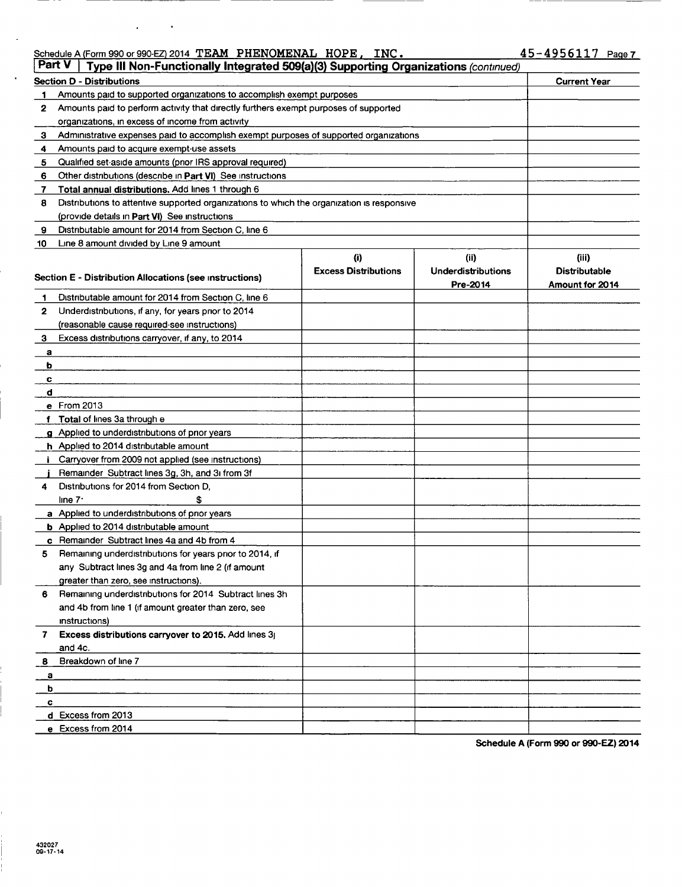| Part V         | Schedule A (Form 990 or 990-EZ) 2014 TEAM PHENOMENAL HOPE, INC.<br>Type III Non-Functionally Integrated 509(a)(3) Supporting Organizations (continued) |                             |                           | $45 - 4956117$ Page 7 |
|----------------|--------------------------------------------------------------------------------------------------------------------------------------------------------|-----------------------------|---------------------------|-----------------------|
|                |                                                                                                                                                        |                             |                           |                       |
|                | <b>Section D - Distributions</b>                                                                                                                       |                             |                           | <b>Current Year</b>   |
| 1              | Amounts paid to supported organizations to accomplish exempt purposes                                                                                  |                             |                           |                       |
| 2              | Amounts paid to perform activity that directly furthers exempt purposes of supported                                                                   |                             |                           |                       |
|                | organizations, in excess of income from activity                                                                                                       |                             |                           |                       |
| 3              | Administrative expenses paid to accomplish exempt purposes of supported organizations                                                                  |                             |                           |                       |
| 4              | Amounts paid to acquire exempt-use assets                                                                                                              |                             |                           |                       |
| 5              | Qualified set-aside amounts (pnor IRS approval required)                                                                                               |                             |                           |                       |
| 6              | Other distributions (describe in Part VI) See instructions                                                                                             |                             |                           |                       |
| 7              | Total annual distributions, Add lines 1 through 6                                                                                                      |                             |                           |                       |
| 8              | Distributions to attentive supported organizations to which the organization is responsive                                                             |                             |                           |                       |
|                | (provide details in Part VI) See instructions                                                                                                          |                             |                           |                       |
| 9              | Distributable amount for 2014 from Section C, line 6                                                                                                   |                             |                           |                       |
| 10             | Line 8 amount divided by Line 9 amount                                                                                                                 |                             |                           |                       |
|                |                                                                                                                                                        | (i)                         | (i)                       | (iii)                 |
|                | Section E - Distribution Allocations (see instructions)                                                                                                | <b>Excess Distributions</b> | <b>Underdistributions</b> | <b>Distributable</b>  |
|                |                                                                                                                                                        |                             | Pre-2014                  | Amount for 2014       |
| 1              | Distributable amount for 2014 from Section C, line 6                                                                                                   |                             |                           |                       |
| $\mathbf{2}$   | Underdistributions, if any, for years prior to 2014                                                                                                    |                             |                           |                       |
|                | (reasonable cause required-see instructions)                                                                                                           |                             |                           |                       |
| 3              | Excess distributions carryover, if any, to 2014                                                                                                        |                             |                           |                       |
| a              |                                                                                                                                                        |                             |                           |                       |
| b              |                                                                                                                                                        |                             |                           |                       |
| c              |                                                                                                                                                        |                             |                           |                       |
| d              |                                                                                                                                                        |                             |                           |                       |
|                | e From 2013                                                                                                                                            |                             |                           |                       |
|                | f Total of lines 3a through e                                                                                                                          |                             |                           |                       |
|                | g Applied to underdistributions of prior years                                                                                                         |                             |                           |                       |
|                | h Applied to 2014 distributable amount                                                                                                                 |                             |                           |                       |
| j.             | Carryover from 2009 not applied (see instructions)                                                                                                     |                             |                           |                       |
|                | Remainder Subtract lines 3g, 3h, and 3i from 3f                                                                                                        |                             |                           |                       |
| 4              | Distributions for 2014 from Section D,                                                                                                                 |                             |                           |                       |
|                | line $7^{\circ}$<br>\$                                                                                                                                 |                             |                           |                       |
|                | a Applied to underdistributions of prior years                                                                                                         |                             |                           |                       |
|                | <b>b</b> Applied to 2014 distributable amount                                                                                                          |                             |                           |                       |
|                | c Remainder Subtract lines 4a and 4b from 4                                                                                                            |                             |                           |                       |
| 5              | Remaining underdistributions for years prior to 2014, if                                                                                               |                             |                           |                       |
|                | any Subtract lines 3g and 4a from line 2 (if amount                                                                                                    |                             |                           |                       |
|                | greater than zero, see instructions).                                                                                                                  |                             |                           |                       |
| 6              | Remaining underdistributions for 2014 Subtract lines 3h                                                                                                |                             |                           |                       |
|                | and 4b from line 1 (if amount greater than zero, see                                                                                                   |                             |                           |                       |
|                | instructions)                                                                                                                                          |                             |                           |                       |
|                | 7 Excess distributions carryover to 2015. Add lines 3j                                                                                                 |                             |                           |                       |
|                | and 4c.                                                                                                                                                |                             |                           |                       |
| 8.             | Breakdown of line 7                                                                                                                                    |                             |                           |                       |
| $\mathsf{a}_-$ |                                                                                                                                                        |                             |                           |                       |
| b              |                                                                                                                                                        |                             |                           |                       |
| c              |                                                                                                                                                        |                             |                           |                       |
|                | d Excess from 2013                                                                                                                                     |                             |                           |                       |
|                | e Excess from 2014                                                                                                                                     |                             |                           |                       |
|                |                                                                                                                                                        |                             |                           |                       |

 $\ddot{\phantom{a}}$ 

Schedule A (Form 990 or 990-EZ) 2014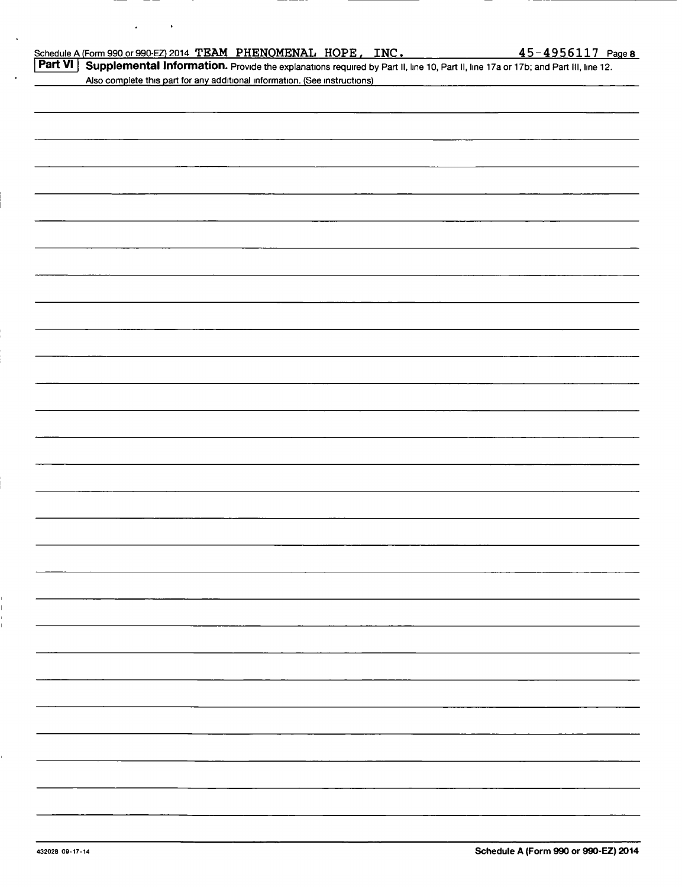|                | Schedule A (Form 990 or 990-EZ) 2014 TEAM PHENOMENAL HOPE, INC.            |  |  | 45-4956117 Page 8                                                                                                                 |
|----------------|----------------------------------------------------------------------------|--|--|-----------------------------------------------------------------------------------------------------------------------------------|
| <b>Part VI</b> |                                                                            |  |  | Supplemental Information. Provide the explanations required by Part II, line 10, Part II, line 17a or 17b; and Part III, line 12. |
|                | Also complete this part for any additional information. (See instructions) |  |  |                                                                                                                                   |
|                |                                                                            |  |  |                                                                                                                                   |
|                |                                                                            |  |  |                                                                                                                                   |
|                |                                                                            |  |  |                                                                                                                                   |
|                |                                                                            |  |  |                                                                                                                                   |
|                |                                                                            |  |  |                                                                                                                                   |
|                |                                                                            |  |  |                                                                                                                                   |
|                |                                                                            |  |  |                                                                                                                                   |
|                |                                                                            |  |  |                                                                                                                                   |
|                |                                                                            |  |  |                                                                                                                                   |
|                |                                                                            |  |  |                                                                                                                                   |
|                |                                                                            |  |  |                                                                                                                                   |
|                |                                                                            |  |  |                                                                                                                                   |
|                |                                                                            |  |  |                                                                                                                                   |
|                |                                                                            |  |  |                                                                                                                                   |
|                |                                                                            |  |  |                                                                                                                                   |
|                |                                                                            |  |  |                                                                                                                                   |
|                |                                                                            |  |  |                                                                                                                                   |
|                |                                                                            |  |  |                                                                                                                                   |
|                |                                                                            |  |  |                                                                                                                                   |
|                |                                                                            |  |  |                                                                                                                                   |
|                |                                                                            |  |  |                                                                                                                                   |
|                |                                                                            |  |  |                                                                                                                                   |
|                |                                                                            |  |  |                                                                                                                                   |
|                |                                                                            |  |  |                                                                                                                                   |
|                |                                                                            |  |  |                                                                                                                                   |
|                |                                                                            |  |  |                                                                                                                                   |
|                |                                                                            |  |  |                                                                                                                                   |
|                |                                                                            |  |  |                                                                                                                                   |
|                |                                                                            |  |  |                                                                                                                                   |
|                |                                                                            |  |  |                                                                                                                                   |
|                |                                                                            |  |  |                                                                                                                                   |
|                |                                                                            |  |  |                                                                                                                                   |
|                |                                                                            |  |  |                                                                                                                                   |
|                |                                                                            |  |  |                                                                                                                                   |
|                |                                                                            |  |  |                                                                                                                                   |
|                |                                                                            |  |  |                                                                                                                                   |
|                |                                                                            |  |  |                                                                                                                                   |
|                |                                                                            |  |  |                                                                                                                                   |
|                |                                                                            |  |  |                                                                                                                                   |
|                |                                                                            |  |  |                                                                                                                                   |
|                |                                                                            |  |  |                                                                                                                                   |
|                |                                                                            |  |  |                                                                                                                                   |
|                |                                                                            |  |  |                                                                                                                                   |
|                |                                                                            |  |  |                                                                                                                                   |
|                |                                                                            |  |  |                                                                                                                                   |
|                |                                                                            |  |  |                                                                                                                                   |
|                |                                                                            |  |  |                                                                                                                                   |
|                |                                                                            |  |  |                                                                                                                                   |
|                |                                                                            |  |  |                                                                                                                                   |
|                |                                                                            |  |  |                                                                                                                                   |
|                |                                                                            |  |  |                                                                                                                                   |
|                |                                                                            |  |  |                                                                                                                                   |
|                |                                                                            |  |  |                                                                                                                                   |
|                |                                                                            |  |  |                                                                                                                                   |
|                |                                                                            |  |  |                                                                                                                                   |
|                |                                                                            |  |  |                                                                                                                                   |
|                |                                                                            |  |  |                                                                                                                                   |
|                |                                                                            |  |  |                                                                                                                                   |
|                |                                                                            |  |  |                                                                                                                                   |
|                |                                                                            |  |  |                                                                                                                                   |
|                |                                                                            |  |  |                                                                                                                                   |
|                |                                                                            |  |  |                                                                                                                                   |
|                |                                                                            |  |  |                                                                                                                                   |
|                |                                                                            |  |  |                                                                                                                                   |
|                |                                                                            |  |  |                                                                                                                                   |
|                |                                                                            |  |  |                                                                                                                                   |
|                |                                                                            |  |  |                                                                                                                                   |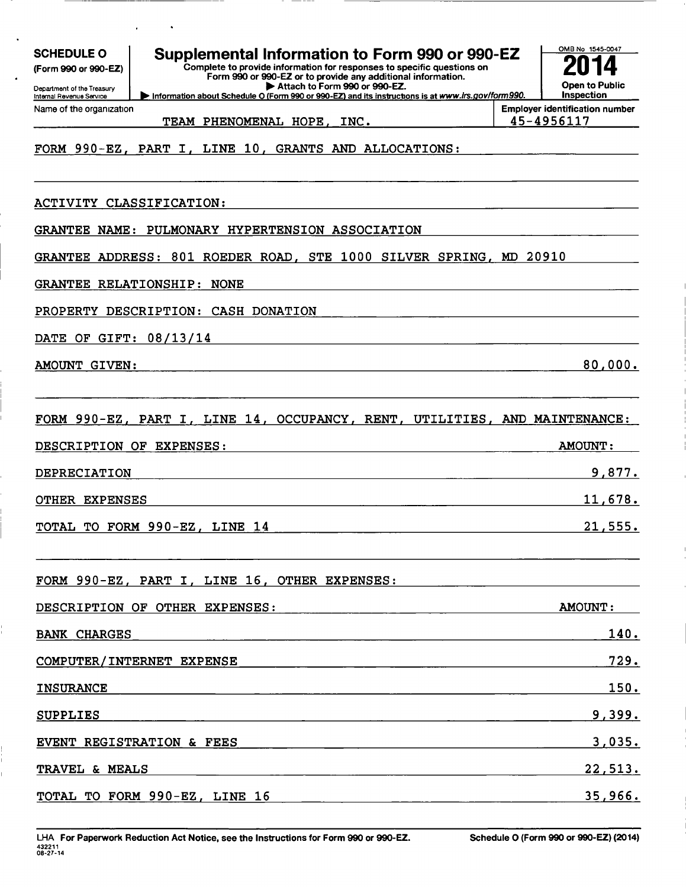| <b>SCHEDULE O</b><br>(Form 990 or 990-EZ)<br>Department of the Treasury<br>Internal Revenue Service | Supplemental Information to Form 990 or 990-EZ<br>Complete to provide information for responses to specific questions on<br>Form 990 or 990-EZ or to provide any additional information.<br>Attach to Form 990 or 990-EZ.<br>Information about Schedule O (Form 990 or 990-EZ) and its instructions is at www.irs.gov/form990. | OMB No 1545-0047<br><b>Open to Public</b><br><b>Inspection</b> |
|-----------------------------------------------------------------------------------------------------|--------------------------------------------------------------------------------------------------------------------------------------------------------------------------------------------------------------------------------------------------------------------------------------------------------------------------------|----------------------------------------------------------------|
| Name of the organization                                                                            | TEAM PHENOMENAL HOPE,<br>INC.                                                                                                                                                                                                                                                                                                  | <b>Employer identification number</b><br>45-4956117            |
|                                                                                                     | FORM 990-EZ, PART I, LINE 10, GRANTS AND ALLOCATIONS:                                                                                                                                                                                                                                                                          |                                                                |
| ACTIVITY CLASSIFICATION:                                                                            |                                                                                                                                                                                                                                                                                                                                |                                                                |
| <b>GRANTEE NAME:</b>                                                                                | PULMONARY HYPERTENSION ASSOCIATION                                                                                                                                                                                                                                                                                             |                                                                |
|                                                                                                     | GRANTEE ADDRESS: 801 ROEDER ROAD, STE 1000 SILVER SPRING, MD 20910                                                                                                                                                                                                                                                             |                                                                |
|                                                                                                     | GRANTEE RELATIONSHIP: NONE                                                                                                                                                                                                                                                                                                     |                                                                |
|                                                                                                     | PROPERTY DESCRIPTION: CASH DONATION                                                                                                                                                                                                                                                                                            |                                                                |
| <b>DATE</b>                                                                                         | OF GIFT: 08/13/14                                                                                                                                                                                                                                                                                                              |                                                                |
| AMOUNT GIVEN:                                                                                       |                                                                                                                                                                                                                                                                                                                                | 80,000.                                                        |
|                                                                                                     |                                                                                                                                                                                                                                                                                                                                |                                                                |
| FORM $990 - EZ$ ,                                                                                   | LINE 14, OCCUPANCY, RENT,<br>PART I.<br>UTILITIES,                                                                                                                                                                                                                                                                             | AND MAINTENANCE:                                               |
| DESCRIPTION OF EXPENSES:                                                                            |                                                                                                                                                                                                                                                                                                                                | <b>AMOUNT:</b>                                                 |
| <b>DEPRECIATION</b>                                                                                 |                                                                                                                                                                                                                                                                                                                                | 9,877.                                                         |
| OTHER EXPENSES                                                                                      |                                                                                                                                                                                                                                                                                                                                | 11,678.                                                        |
|                                                                                                     | TOTAL TO FORM 990-EZ, LINE 14                                                                                                                                                                                                                                                                                                  | 21,555.                                                        |
|                                                                                                     | FORM 990-EZ, PART I, LINE 16, OTHER EXPENSES:                                                                                                                                                                                                                                                                                  |                                                                |
|                                                                                                     | DESCRIPTION OF OTHER EXPENSES:                                                                                                                                                                                                                                                                                                 | <b>AMOUNT:</b>                                                 |
| <b>BANK CHARGES</b>                                                                                 |                                                                                                                                                                                                                                                                                                                                | <u> 140.</u>                                                   |
|                                                                                                     | COMPUTER/INTERNET EXPENSE                                                                                                                                                                                                                                                                                                      | 729.                                                           |
| <b>INSURANCE</b>                                                                                    |                                                                                                                                                                                                                                                                                                                                | <u> 150.</u>                                                   |
| <b>SUPPLIES</b>                                                                                     |                                                                                                                                                                                                                                                                                                                                | <u>9,399.</u>                                                  |
|                                                                                                     | EVENT REGISTRATION & FEES                                                                                                                                                                                                                                                                                                      | <u>3,035.</u>                                                  |
| TRAVEL & MEALS                                                                                      |                                                                                                                                                                                                                                                                                                                                | <u>22,513.</u>                                                 |
|                                                                                                     | TOTAL TO FORM 990-EZ, LINE 16                                                                                                                                                                                                                                                                                                  | 35,966.                                                        |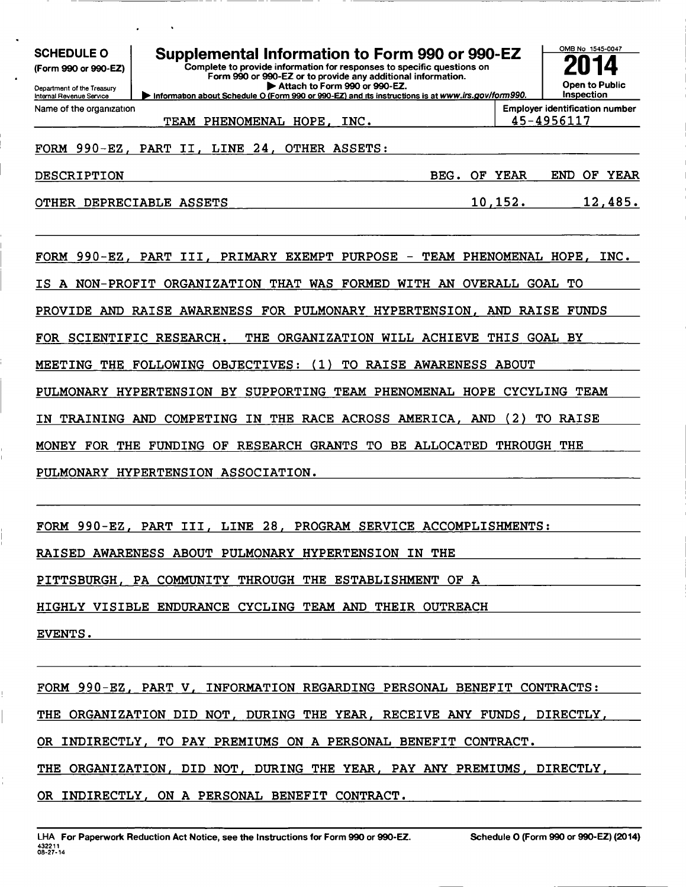| <b>SCHEDULE O</b><br>(Form 990 or 990-EZ)              | Supplemental Information to Form 990 or 990-EZ<br>Complete to provide information for responses to specific questions on<br>Form 990 or 990-EZ or to provide any additional information. |     |             | OMB No 1545-0047                                    |
|--------------------------------------------------------|------------------------------------------------------------------------------------------------------------------------------------------------------------------------------------------|-----|-------------|-----------------------------------------------------|
| Department of the Treasury<br>Internal Revenue Service | Attach to Form 990 or 990-EZ.<br>Information about Schedule O (Form 990 or 990-EZ) and its instructions is at www.irs.gov/form990.                                                       |     |             | Open to Public<br>Inspection                        |
| Name of the organization                               | INC.<br>TEAM PHENOMENAL HOPE,                                                                                                                                                            |     |             | <b>Employer identification number</b><br>45-4956117 |
| FORM $990 - EZ$ .                                      | <b>LINE 24,</b><br>OTHER ASSETS:<br>PART II.                                                                                                                                             |     |             |                                                     |
| <b>DESCRIPTION</b>                                     | BEG.                                                                                                                                                                                     | OF  | <b>YEAR</b> | <b>END</b><br>OF<br><b>YEAR</b>                     |
|                                                        | OTHER DEPRECIABLE ASSETS                                                                                                                                                                 |     | 10,152.     | 12,485.                                             |
| FORM 990-EZ, PART III,                                 | PRIMARY EXEMPT<br><b>PURPOSE</b><br>$\overline{\phantom{m}}$                                                                                                                             |     |             | TEAM PHENOMENAL HOPE,<br>INC.                       |
| A NON-PROFIT<br>IS.                                    | ORGANIZATION THAT<br>FORMED WITH AN<br>WAS                                                                                                                                               |     |             | OVERALL GOAL TO                                     |
|                                                        | PROVIDE AND RAISE AWARENESS<br>FOR PULMONARY HYPERTENSION,                                                                                                                               |     |             | AND RAISE FUNDS                                     |
| <b>FOR</b>                                             | SCIENTIFIC RESEARCH.<br>ORGANIZATION WILL ACHIEVE<br>THE                                                                                                                                 |     |             | THIS GOAL BY                                        |
| MEETING THE FOLLOWING                                  | <b>OBJECTIVES:</b><br>TO RAISE AWARENESS ABOUT<br>(1)                                                                                                                                    |     |             |                                                     |
|                                                        | PULMONARY HYPERTENSION BY<br>SUPPORTING TEAM PHENOMENAL HOPE CYCYLING TEAM                                                                                                               |     |             |                                                     |
| <b>TRAINING AND</b><br>ΙN                              | RACE ACROSS AMERICA,<br>COMPETING<br>THE<br>IN                                                                                                                                           | AND | 2)          | <b>TO RAISE</b>                                     |
|                                                        | MONEY FOR THE FUNDING OF RESEARCH GRANTS TO BE ALLOCATED THROUGH THE                                                                                                                     |     |             |                                                     |

PULMONARY HYPERTENSION ASSOCIATION.

FORM 990-EZ, PART III, LINE 28, PROGRAM SERVICE ACCOMPLISHMENTS:

RAISED AWARENESS ABOUT PULMONARY HYPERTENSION IN THE

PITTSBURGH, PA COMMUNITY THROUGH THE ESTABLISHMENT OF

HIGHLY VISIBLE ENDURANCE CYCLING TEAM AND THEIR OUTREACH

EVENTS.

FORM 990-EZ, PART V, INFORMATION REGARDING PERSONAL BENEFIT CONTRACTS: THE ORGANIZATION DID NOT, DURING THE YEAR, RECEIVE ANY FUNDS, DIRECTLY, OR INDIRECTLY, TO PAY PREMIUMS ON A PERSONAL BENEFIT CONTRACT. THE ORGANIZATION, DID NOT, DURING THE YEAR, PAY ANY PREMIUMS, DIRECTLY, OR INDIRECTLY, ON A PERSONAL BENEFIT CONTRACT.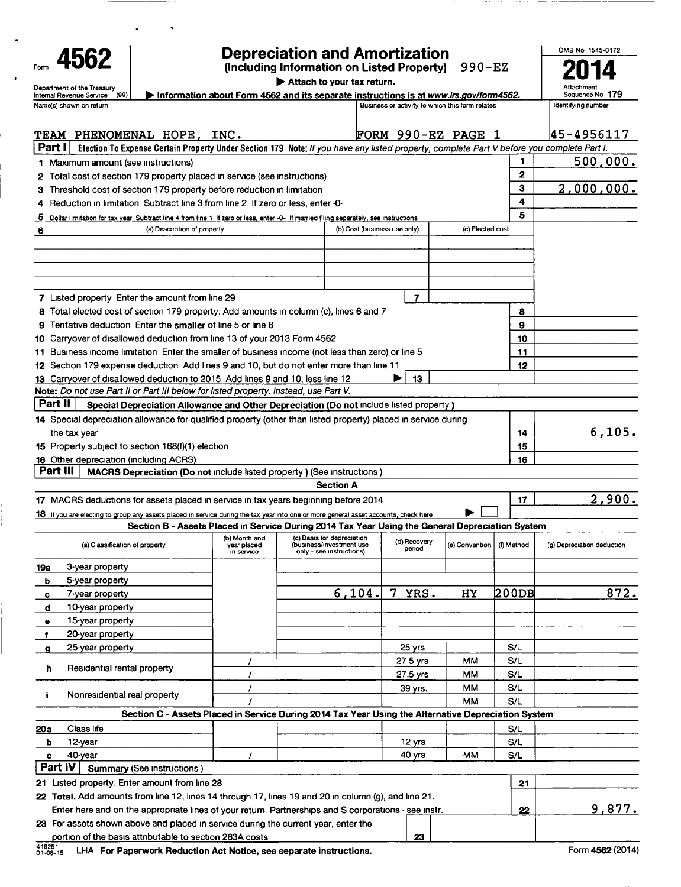| 4562                                                                                                                                         |                                                                                                                                           |                           | <b>Depreciation and Amortization</b>                                     |         |                              |                  |              | OMB No 1545-0172              |
|----------------------------------------------------------------------------------------------------------------------------------------------|-------------------------------------------------------------------------------------------------------------------------------------------|---------------------------|--------------------------------------------------------------------------|---------|------------------------------|------------------|--------------|-------------------------------|
|                                                                                                                                              |                                                                                                                                           |                           | (Including Information on Listed Property)<br>Attach to your tax return. |         |                              | $990 - EZ$       |              |                               |
| Department of the Treasury<br>(99)<br>Internal Revenue Service                                                                               |                                                                                                                                           |                           |                                                                          |         |                              |                  |              | Attachment<br>Sequence No 179 |
| Name(s) shown on return                                                                                                                      | Information about Form 4562 and its separate instructions is at www.irs.gov/form4562.<br>Business or activity to which this form relates  |                           |                                                                          |         |                              |                  |              | Identifying number            |
| TEAM PHENOMENAL HOPE,                                                                                                                        |                                                                                                                                           | INC.                      |                                                                          |         | FORM 990-EZ PAGE 1           |                  |              | 45-4956117                    |
| Part I                                                                                                                                       | Election To Expense Certain Property Under Section 179 Note: If you have any listed property, complete Part V before you complete Part I. |                           |                                                                          |         |                              |                  |              |                               |
| 1 Maximum amount (see instructions)                                                                                                          |                                                                                                                                           |                           |                                                                          |         |                              |                  | 1            | 500,000.                      |
| Total cost of section 179 property placed in service (see instructions)<br>2.                                                                |                                                                                                                                           |                           |                                                                          |         |                              |                  | $\mathbf{2}$ |                               |
| Threshold cost of section 179 property before reduction in limitation<br>з                                                                   |                                                                                                                                           |                           |                                                                          |         |                              |                  | з            | 2,000,000.                    |
| Reduction in limitation Subtract line 3 from line 2 If zero or less, enter -0-<br>4                                                          |                                                                                                                                           |                           |                                                                          |         |                              |                  | 4            |                               |
| 5<br>Dollar limitation for tax year Subtract line 4 from line 1 If zero or less, enter -0- If married filing separately, see instructions    |                                                                                                                                           |                           |                                                                          |         |                              |                  | 5            |                               |
| 6                                                                                                                                            | (a) Description of property                                                                                                               |                           |                                                                          |         | (b) Cost (business use only) | (c) Elected cost |              |                               |
|                                                                                                                                              |                                                                                                                                           |                           |                                                                          |         |                              |                  |              |                               |
|                                                                                                                                              |                                                                                                                                           |                           |                                                                          |         |                              |                  |              |                               |
| 7 Listed property Enter the amount from line 29<br>Total elected cost of section 179 property. Add amounts in column (c), lines 6 and 7<br>8 |                                                                                                                                           |                           |                                                                          |         | $\overline{\mathbf{z}}$      |                  | 8            |                               |
| Tentative deduction Enter the smaller of line 5 or line 8<br>9                                                                               |                                                                                                                                           |                           |                                                                          |         |                              |                  | 9            |                               |
| Carryover of disallowed deduction from line 13 of your 2013 Form 4562<br>10                                                                  |                                                                                                                                           |                           |                                                                          |         |                              |                  | 10           |                               |
| Business income limitation Enter the smaller of business income (not less than zero) or line 5<br>11.                                        |                                                                                                                                           |                           |                                                                          |         |                              |                  | 11           |                               |
| Section 179 expense deduction Add lines 9 and 10, but do not enter more than line 11<br>12                                                   |                                                                                                                                           |                           |                                                                          |         |                              |                  | 12           |                               |
| Carryover of disallowed deduction to 2015 Add lines 9 and 10, less line 12<br>13 <sup>13</sup>                                               |                                                                                                                                           |                           |                                                                          |         | 13                           |                  |              |                               |
| Note: Do not use Part II or Part III below for listed property. Instead, use Part V.                                                         |                                                                                                                                           |                           |                                                                          |         |                              |                  |              |                               |
| Part II                                                                                                                                      | Special Depreciation Allowance and Other Depreciation (Do not include listed property)                                                    |                           |                                                                          |         |                              |                  |              |                               |
| 14 Special depreciation allowance for qualified property (other than listed property) placed in service during                               |                                                                                                                                           |                           |                                                                          |         |                              |                  |              |                               |
| the tax year                                                                                                                                 |                                                                                                                                           |                           |                                                                          |         |                              |                  | 14           | 6, 105.                       |
| 15 Property subject to section 168(f)(1) election                                                                                            |                                                                                                                                           |                           |                                                                          |         |                              |                  | 15           |                               |
| <b>16</b> Other depreciation (including ACRS)                                                                                                |                                                                                                                                           |                           |                                                                          |         |                              |                  | 16           |                               |
| Part III                                                                                                                                     | <b>MACRS Depreciation (Do not include listed property) (See instructions)</b>                                                             |                           |                                                                          |         |                              |                  |              |                               |
|                                                                                                                                              |                                                                                                                                           |                           | <b>Section A</b>                                                         |         |                              |                  |              |                               |
| 17 MACRS deductions for assets placed in service in tax years beginning before 2014                                                          |                                                                                                                                           |                           |                                                                          |         |                              |                  | 17           | 2,900.                        |
| 18 If you are electing to group any assets placed in service during the tax year into one or more general asset accounts, check here         | Section B - Assets Placed in Service During 2014 Tax Year Using the General Depreciation System                                           |                           |                                                                          |         |                              |                  |              |                               |
|                                                                                                                                              |                                                                                                                                           | (b) Month and             | (c) Basis for depreciation                                               |         |                              |                  |              |                               |
| (a) Classification of property                                                                                                               |                                                                                                                                           | year placed<br>In service | (business/investment use<br>only - see instructions)                     |         | (d) Recovery<br>period       | (e) Convention   | (f) Method   | (g) Depreciation deduction    |
| 3-year property<br>19а                                                                                                                       |                                                                                                                                           |                           |                                                                          |         |                              |                  |              |                               |
| 5-year property<br>b                                                                                                                         |                                                                                                                                           |                           |                                                                          |         |                              |                  |              |                               |
| 7-year property<br>c                                                                                                                         |                                                                                                                                           |                           |                                                                          | 6, 104. | 7<br>YRS.                    | HY               | $200$ DB     | 872.                          |
| 10-year property<br>d                                                                                                                        |                                                                                                                                           |                           |                                                                          |         |                              |                  |              |                               |
| 15-year property<br>е                                                                                                                        |                                                                                                                                           |                           |                                                                          |         |                              |                  |              |                               |
| 20-year property<br>1.                                                                                                                       |                                                                                                                                           |                           |                                                                          |         |                              |                  |              |                               |
| 25-year property<br>Я                                                                                                                        |                                                                                                                                           |                           |                                                                          |         | 25 yrs                       |                  | S/L          |                               |
| Residential rental property<br>h                                                                                                             |                                                                                                                                           |                           |                                                                          |         | 27 5 yrs                     | мм               | S/L          |                               |
|                                                                                                                                              |                                                                                                                                           |                           |                                                                          |         | 27.5 yrs                     | ММ               | S/L          |                               |
| j.<br>Nonresidential real property                                                                                                           |                                                                                                                                           |                           |                                                                          |         | 39 yrs.                      | ММ               | S/L          |                               |
|                                                                                                                                              |                                                                                                                                           |                           |                                                                          |         |                              | ММ               | S/L          |                               |
|                                                                                                                                              | Section C - Assets Placed in Service During 2014 Tax Year Using the Alternative Depreciation System                                       |                           |                                                                          |         |                              |                  |              |                               |
| Class Infe<br>20a                                                                                                                            |                                                                                                                                           |                           |                                                                          |         |                              |                  | S/L          |                               |
| 12-year<br>b                                                                                                                                 |                                                                                                                                           |                           |                                                                          |         | 12 yrs                       |                  | S/L          |                               |
| 40-year<br>c                                                                                                                                 |                                                                                                                                           |                           |                                                                          |         | 40 yrs                       | мм               | S/L          |                               |
| Part IV                                                                                                                                      | <b>Summary (See instructions)</b>                                                                                                         |                           |                                                                          |         |                              |                  |              |                               |
| 21 Listed property. Enter amount from line 28                                                                                                |                                                                                                                                           |                           |                                                                          |         |                              |                  | 21           |                               |
| 22 Total. Add amounts from line 12, lines 14 through 17, lines 19 and 20 in column (g), and line 21.                                         |                                                                                                                                           |                           |                                                                          |         |                              |                  |              |                               |
| Enter here and on the appropriate lines of your return Partnerships and S corporations - see instr.                                          |                                                                                                                                           |                           |                                                                          |         |                              |                  | 22           | 9,877.                        |
| 23 For assets shown above and placed in service during the current year, enter the                                                           |                                                                                                                                           |                           |                                                                          |         |                              |                  |              |                               |
| portion of the basis attributable to section 263A costs                                                                                      |                                                                                                                                           |                           |                                                                          |         | 23                           |                  |              |                               |

 $418251$ <br>01-08-15 LHA For Paperwork Reduction Act Notice, see separate instructions. Form 4562 (2014)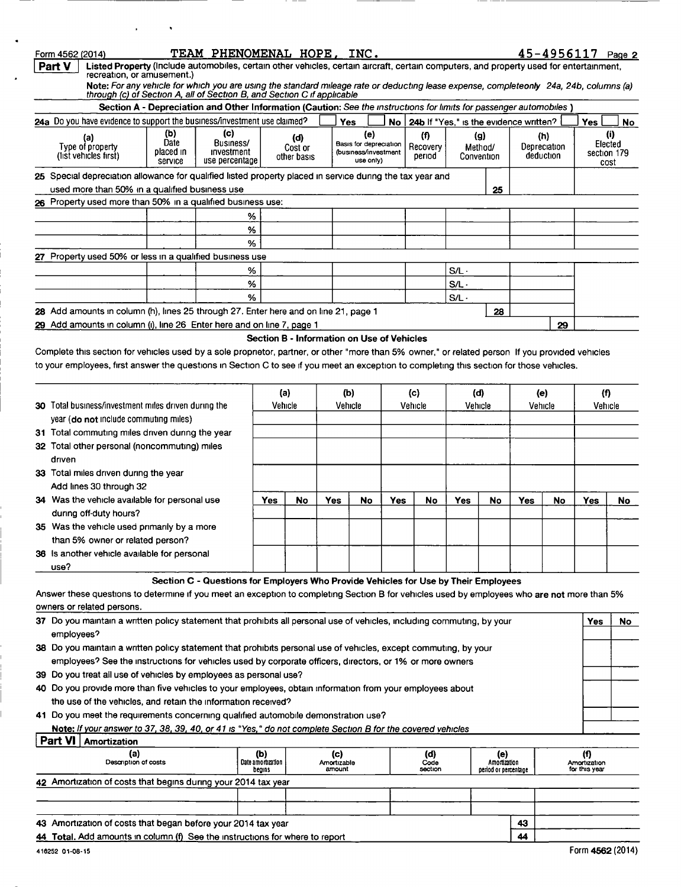|         | Form 4562 (2014)                                                                                                                                                                                                  |                                     | TEAM PHENOMENAL HOPE, INC.                                                                                          |                                            |                               |                              |                                                                    |     |                                             |                              |                                             |     |                                  | $45 - 4956117$ Page 2                     |                                       |
|---------|-------------------------------------------------------------------------------------------------------------------------------------------------------------------------------------------------------------------|-------------------------------------|---------------------------------------------------------------------------------------------------------------------|--------------------------------------------|-------------------------------|------------------------------|--------------------------------------------------------------------|-----|---------------------------------------------|------------------------------|---------------------------------------------|-----|----------------------------------|-------------------------------------------|---------------------------------------|
| Part V  | Listed Property (Include automobiles, certain other vehicles, certain aircraft, certain computers, and property used for entertainment,<br>recreation, or amusement.)                                             |                                     |                                                                                                                     |                                            |                               |                              |                                                                    |     |                                             |                              |                                             |     |                                  |                                           |                                       |
|         | Note: For any vehicle for which you are using the standard mileage rate or deducting lease expense, completeonly 24a, 24b, columns (a)<br>through (c) of Section A, all of Section B, and Section C if applicable |                                     |                                                                                                                     |                                            |                               |                              |                                                                    |     |                                             |                              |                                             |     |                                  |                                           |                                       |
|         |                                                                                                                                                                                                                   |                                     | Section A - Depreciation and Other Information (Caution: See the instructions for limits for passenger automobiles) |                                            |                               |                              |                                                                    |     |                                             |                              |                                             |     |                                  |                                           |                                       |
|         | 24a Do you have evidence to support the business/investment use claimed?                                                                                                                                          |                                     |                                                                                                                     |                                            |                               |                              | <b>Yes</b>                                                         |     | No   24b If "Yes," is the evidence written? |                              |                                             |     |                                  | <b>Yes</b>                                | No                                    |
|         | (a)<br>Type of property<br>(list vehicles first)                                                                                                                                                                  | (b)<br>Date<br>placed in<br>service | (c)<br>Business/<br>investment<br>use percentage                                                                    |                                            | (d)<br>Cost or<br>other basis |                              | (e)<br>Basis for depreciation<br>(business/investment<br>use only) |     | (f)<br>Recovery<br>period                   | (g)<br>Method/<br>Convention |                                             |     | (h)<br>Depreciation<br>deduction |                                           | (i)<br>Elected<br>section 179<br>cost |
|         | 25 Special depreciation allowance for qualified listed property placed in service during the tax year and                                                                                                         |                                     |                                                                                                                     |                                            |                               |                              |                                                                    |     |                                             |                              |                                             |     |                                  |                                           |                                       |
|         | used more than 50% in a qualified business use<br>26 Property used more than 50% in a qualified business use:                                                                                                     |                                     |                                                                                                                     |                                            |                               |                              |                                                                    |     |                                             |                              | 25                                          |     |                                  |                                           |                                       |
|         |                                                                                                                                                                                                                   |                                     |                                                                                                                     | %                                          |                               |                              |                                                                    |     |                                             |                              |                                             |     |                                  |                                           |                                       |
|         |                                                                                                                                                                                                                   |                                     |                                                                                                                     | %                                          |                               |                              |                                                                    |     |                                             |                              |                                             |     |                                  |                                           |                                       |
|         |                                                                                                                                                                                                                   |                                     |                                                                                                                     | %                                          |                               |                              |                                                                    |     |                                             |                              |                                             |     |                                  |                                           |                                       |
|         | 27 Property used 50% or less in a qualified business use                                                                                                                                                          |                                     |                                                                                                                     |                                            |                               |                              |                                                                    |     |                                             |                              |                                             |     |                                  |                                           |                                       |
|         |                                                                                                                                                                                                                   |                                     |                                                                                                                     | %                                          |                               |                              |                                                                    |     |                                             | $S/L -$                      |                                             |     |                                  |                                           |                                       |
|         |                                                                                                                                                                                                                   |                                     |                                                                                                                     | %                                          |                               |                              |                                                                    |     |                                             | $S/L -$                      |                                             |     |                                  |                                           |                                       |
|         |                                                                                                                                                                                                                   |                                     |                                                                                                                     | %                                          |                               |                              |                                                                    |     |                                             | $S/L -$                      |                                             |     |                                  |                                           |                                       |
|         | 28 Add amounts in column (h), lines 25 through 27. Enter here and on line 21, page 1                                                                                                                              |                                     |                                                                                                                     |                                            |                               |                              |                                                                    |     |                                             |                              | 28                                          |     |                                  |                                           |                                       |
|         | 29 Add amounts in column (i), line 26 Enter here and on line 7, page 1                                                                                                                                            |                                     |                                                                                                                     |                                            |                               |                              |                                                                    |     |                                             |                              |                                             |     | 29                               |                                           |                                       |
|         |                                                                                                                                                                                                                   |                                     |                                                                                                                     | Section B - Information on Use of Vehicles |                               |                              |                                                                    |     |                                             |                              |                                             |     |                                  |                                           |                                       |
|         | Complete this section for vehicles used by a sole proprietor, partner, or other "more than 5% owner," or related person If you provided vehicles                                                                  |                                     |                                                                                                                     |                                            |                               |                              |                                                                    |     |                                             |                              |                                             |     |                                  |                                           |                                       |
|         | to your employees, first answer the questions in Section C to see if you meet an exception to completing this section for those vehicles.                                                                         |                                     |                                                                                                                     |                                            |                               |                              |                                                                    |     |                                             |                              |                                             |     |                                  |                                           |                                       |
|         |                                                                                                                                                                                                                   |                                     |                                                                                                                     |                                            |                               |                              |                                                                    |     |                                             |                              |                                             |     |                                  |                                           |                                       |
|         |                                                                                                                                                                                                                   |                                     |                                                                                                                     |                                            | (a)                           |                              | (b)                                                                |     | (c)                                         | (d)                          |                                             |     | (e)                              | (f)                                       |                                       |
|         | 30 Total business/investment miles driven during the                                                                                                                                                              |                                     |                                                                                                                     |                                            | Vehicle                       |                              | Vehicle                                                            |     | Vehicle                                     | Vehicle                      |                                             |     | Vehicle                          | Vehicle                                   |                                       |
|         | year (do not include commuting miles)                                                                                                                                                                             |                                     |                                                                                                                     |                                            |                               |                              |                                                                    |     |                                             |                              |                                             |     |                                  |                                           |                                       |
|         | 31 Total commuting miles driven during the year                                                                                                                                                                   |                                     |                                                                                                                     |                                            |                               |                              |                                                                    |     |                                             |                              |                                             |     |                                  |                                           |                                       |
|         | 32 Total other personal (noncommuting) miles                                                                                                                                                                      |                                     |                                                                                                                     |                                            |                               |                              |                                                                    |     |                                             |                              |                                             |     |                                  |                                           |                                       |
| driven  |                                                                                                                                                                                                                   |                                     |                                                                                                                     |                                            |                               |                              |                                                                    |     |                                             |                              |                                             |     |                                  |                                           |                                       |
|         | 33 Total miles driven during the year                                                                                                                                                                             |                                     |                                                                                                                     |                                            |                               |                              |                                                                    |     |                                             |                              |                                             |     |                                  |                                           |                                       |
|         | Add lines 30 through 32                                                                                                                                                                                           |                                     |                                                                                                                     |                                            |                               |                              |                                                                    |     |                                             |                              |                                             |     |                                  |                                           |                                       |
|         | 34 Was the vehicle available for personal use                                                                                                                                                                     |                                     |                                                                                                                     | Yes                                        | No                            | Yes                          | No                                                                 | Yes | No                                          | Yes                          | No                                          | Yes | No                               | <b>Yes</b>                                | No                                    |
|         | during off-duty hours?                                                                                                                                                                                            |                                     |                                                                                                                     |                                            |                               |                              |                                                                    |     |                                             |                              |                                             |     |                                  |                                           |                                       |
|         | 35 Was the vehicle used primarily by a more                                                                                                                                                                       |                                     |                                                                                                                     |                                            |                               |                              |                                                                    |     |                                             |                              |                                             |     |                                  |                                           |                                       |
|         | than 5% owner or related person?                                                                                                                                                                                  |                                     |                                                                                                                     |                                            |                               |                              |                                                                    |     |                                             |                              |                                             |     |                                  |                                           |                                       |
|         | 36 Is another vehicle available for personal                                                                                                                                                                      |                                     |                                                                                                                     |                                            |                               |                              |                                                                    |     |                                             |                              |                                             |     |                                  |                                           |                                       |
| use?    |                                                                                                                                                                                                                   |                                     |                                                                                                                     |                                            |                               |                              |                                                                    |     |                                             |                              |                                             |     |                                  |                                           |                                       |
|         |                                                                                                                                                                                                                   |                                     | Section C - Questions for Employers Who Provide Vehicles for Use by Their Employees                                 |                                            |                               |                              |                                                                    |     |                                             |                              |                                             |     |                                  |                                           |                                       |
|         | Answer these questions to determine if you meet an exception to completing Section B for vehicles used by employees who are not more than 5%                                                                      |                                     |                                                                                                                     |                                            |                               |                              |                                                                    |     |                                             |                              |                                             |     |                                  |                                           |                                       |
|         | owners or related persons.                                                                                                                                                                                        |                                     |                                                                                                                     |                                            |                               |                              |                                                                    |     |                                             |                              |                                             |     |                                  |                                           |                                       |
|         | 37 Do you maintain a written policy statement that prohibits all personal use of vehicles, including commuting, by your<br>employees?                                                                             |                                     |                                                                                                                     |                                            |                               |                              |                                                                    |     |                                             |                              |                                             |     |                                  | Yes                                       | No                                    |
|         | 38 Do you maintain a written policy statement that prohibits personal use of vehicles, except commuting, by your                                                                                                  |                                     |                                                                                                                     |                                            |                               |                              |                                                                    |     |                                             |                              |                                             |     |                                  |                                           |                                       |
|         | employees? See the instructions for vehicles used by corporate officers, directors, or 1% or more owners                                                                                                          |                                     |                                                                                                                     |                                            |                               |                              |                                                                    |     |                                             |                              |                                             |     |                                  |                                           |                                       |
|         | 39 Do you treat all use of vehicles by employees as personal use?                                                                                                                                                 |                                     |                                                                                                                     |                                            |                               |                              |                                                                    |     |                                             |                              |                                             |     |                                  |                                           |                                       |
|         | 40 Do you provide more than five vehicles to your employees, obtain information from your employees about                                                                                                         |                                     |                                                                                                                     |                                            |                               |                              |                                                                    |     |                                             |                              |                                             |     |                                  |                                           |                                       |
|         | the use of the vehicles, and retain the information received?                                                                                                                                                     |                                     |                                                                                                                     |                                            |                               |                              |                                                                    |     |                                             |                              |                                             |     |                                  |                                           |                                       |
|         | 41 Do you meet the requirements concerning qualified automobile demonstration use?                                                                                                                                |                                     |                                                                                                                     |                                            |                               |                              |                                                                    |     |                                             |                              |                                             |     |                                  |                                           |                                       |
|         | Note: If your answer to 37, 38, 39, 40, or 41 is "Yes," do not complete Section B for the covered vehicles                                                                                                        |                                     |                                                                                                                     |                                            |                               |                              |                                                                    |     |                                             |                              |                                             |     |                                  |                                           |                                       |
| Part VI | Amortization                                                                                                                                                                                                      |                                     |                                                                                                                     |                                            |                               |                              |                                                                    |     |                                             |                              |                                             |     |                                  |                                           |                                       |
|         | (a)<br>Description of costs                                                                                                                                                                                       |                                     |                                                                                                                     | (b)<br>Date amorbzation<br>begins          |                               | (c)<br>Amortizable<br>amount |                                                                    |     | (d)<br>Code<br>section                      |                              | (e)<br>Amortization<br>period or percentage |     |                                  | $\bf{f}$<br>Amortization<br>for this year |                                       |
|         | 42 Amortization of costs that begins during your 2014 tax year                                                                                                                                                    |                                     |                                                                                                                     |                                            |                               |                              |                                                                    |     |                                             |                              |                                             |     |                                  |                                           |                                       |
|         |                                                                                                                                                                                                                   |                                     |                                                                                                                     |                                            |                               |                              |                                                                    |     |                                             |                              |                                             |     |                                  |                                           |                                       |
|         |                                                                                                                                                                                                                   |                                     |                                                                                                                     |                                            |                               |                              |                                                                    |     |                                             |                              |                                             |     |                                  |                                           |                                       |
|         | 43 Amortization of costs that began before your 2014 tax year                                                                                                                                                     |                                     |                                                                                                                     |                                            |                               |                              |                                                                    |     |                                             |                              |                                             | 43  |                                  |                                           |                                       |
|         | 44 Total. Add amounts in column (f) See the instructions for where to report                                                                                                                                      |                                     |                                                                                                                     |                                            |                               |                              |                                                                    |     |                                             |                              |                                             | 44  |                                  |                                           |                                       |

 $\sim 100$ 

 $\mathbf{r}$ 

 $\overline{a}$ 

 $\lambda$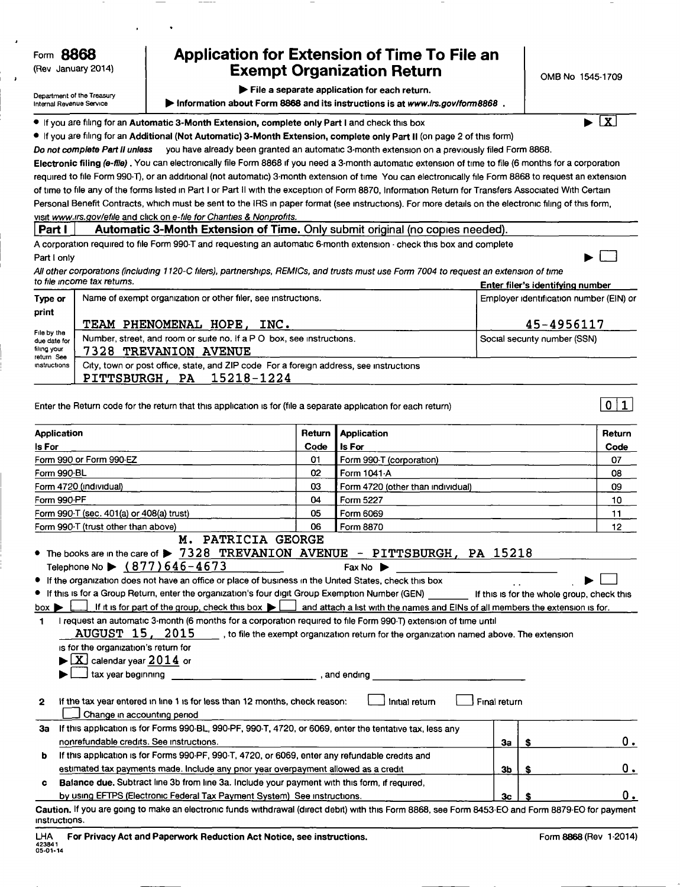| Form | 8868 |
|------|------|
|------|------|

# Form 8868 **Application for Extension of Time To File an**<br> **Example Creanization Beturn**<br> **Example Organization Beturn** Exempt Organization Return  $\log_{10.1545 \cdot 1709}$

► File <sup>a</sup> separate application for each return.

| Department of the Treasury |  |
|----------------------------|--|
|                            |  |

▶ Information about Form 8868 and its instructions is at www.irs.gov/form8868.

• If you are filing for an Automatic 3-Month Extension, complete only Part I and check this box  $\blacktriangleright \Box$ 

• If you are filing for an Additional ( Not Automatic ) 3-Month Extension, complete only Part II (on page 2 of this form)

Do not complete Part II unless you have already been granted an automatic 3-month extension on a previously filed Form 8868.

Electronic filing (e-file). You can electronically file Form 8868 if you need a 3-month automatic extension of time to file (6 months for a corporation required to file Form 990-1), or an additional (not automatic) 3-month extension of time You can electronically file Form 8868 to request an extension of time to file any of the forms listed in Part <sup>I</sup> or Part II with the exception of Form 8870, Information Return for Transfers Associated With Certain Personal Benefit Contracts, which must be sent to the IRS in paper format (see instructions). For more details on the electronic filing of this form, visit www.irs.gov/efile and click on e-file for Chanties & Nonprofits.

| ∣ Part I | <b>Automatic 3-Month Extension of Time.</b> Only submit original (no copies needed). |  |  |
|----------|--------------------------------------------------------------------------------------|--|--|

A corporation required to file Form 990 T and requesting an automatic 6 month extension  $\cdot$  check this box and complete<br>Part I only

All other corporations (including 1120-C filers), partnerships, REMICs, and trusts must use Form 7004 to request an extension of time Enter filer's identifying number

| Type or                                                                  | Name of exempt organization or other filer, see instructions.                                                              | Employer identification number (EIN) or |  |  |  |  |  |  |  |
|--------------------------------------------------------------------------|----------------------------------------------------------------------------------------------------------------------------|-----------------------------------------|--|--|--|--|--|--|--|
| print                                                                    | TEAM PHENOMENAL HOPE,<br>INC.                                                                                              | 45-4956117                              |  |  |  |  |  |  |  |
| File by the<br>due date for<br>filing your<br>return See<br>instructions | Number, street, and room or suite no. If a P O box, see instructions.<br>7328 TREVANION AVENUE                             | Social security number (SSN)            |  |  |  |  |  |  |  |
|                                                                          | City, town or post office, state, and ZIP code For a foreign address, see instructions<br>15218-1224<br>PITTSBURGH,<br>PA. |                                         |  |  |  |  |  |  |  |

Enter the Return code for the return that this application is for (file a separate application for each return)  $\begin{bmatrix} 0 & 1 \end{bmatrix}$ 

| <b>Application</b>                                                                                                                                                                                                                                                                                                                                                                                                                                                                                                                                                                                                                                                                                                                                                                      | Return                                  | <b>Application</b>                                                                       |                |   | Return |  |  |  |
|-----------------------------------------------------------------------------------------------------------------------------------------------------------------------------------------------------------------------------------------------------------------------------------------------------------------------------------------------------------------------------------------------------------------------------------------------------------------------------------------------------------------------------------------------------------------------------------------------------------------------------------------------------------------------------------------------------------------------------------------------------------------------------------------|-----------------------------------------|------------------------------------------------------------------------------------------|----------------|---|--------|--|--|--|
| Is For                                                                                                                                                                                                                                                                                                                                                                                                                                                                                                                                                                                                                                                                                                                                                                                  | Code                                    | <b>Is For</b>                                                                            |                |   |        |  |  |  |
| Form 990 or Form 990-EZ                                                                                                                                                                                                                                                                                                                                                                                                                                                                                                                                                                                                                                                                                                                                                                 | 01                                      | Form 990-T (corporation)                                                                 |                |   |        |  |  |  |
| Form 990-BL                                                                                                                                                                                                                                                                                                                                                                                                                                                                                                                                                                                                                                                                                                                                                                             | 02                                      | Form 1041 A                                                                              |                |   | 08     |  |  |  |
| Form 4720 (individual)                                                                                                                                                                                                                                                                                                                                                                                                                                                                                                                                                                                                                                                                                                                                                                  | 03<br>Form 4720 (other than individual) |                                                                                          |                |   |        |  |  |  |
| Form 990-PF                                                                                                                                                                                                                                                                                                                                                                                                                                                                                                                                                                                                                                                                                                                                                                             | Form 5227<br>04                         |                                                                                          |                |   |        |  |  |  |
| Form 990-T (sec. 401(a) or 408(a) trust)                                                                                                                                                                                                                                                                                                                                                                                                                                                                                                                                                                                                                                                                                                                                                | 05                                      | Form 6069                                                                                |                |   | 11     |  |  |  |
| Form 990 T (trust other than above)                                                                                                                                                                                                                                                                                                                                                                                                                                                                                                                                                                                                                                                                                                                                                     | 06                                      | Form 8870                                                                                |                |   | 12     |  |  |  |
| The books are in the care of > 7328 TREVANION AVENUE - PITTSBURGH, PA 15218<br>Telephone No $\triangleright$ (877) 646-4673<br>• If the organization does not have an office or place of business in the United States, check this box<br>If this is for a Group Return, enter the organization's four digit Group Exemption Number (GEN) If this is for the whole group, check this<br>If it is for part of the group, check this box $\blacktriangleright$ $\Box$<br>$box \triangleright$<br>I request an automatic 3-month (6 months for a corporation required to file Form 990-T) extension of time until<br>1<br>$\textbf{AUGUST}$ $15$ , $2015$ , to file the exempt organization return for the organization named above. The extension<br>is for the organization's return for |                                         | Fax No<br>and attach a list with the names and EINs of all members the extension is for. |                |   |        |  |  |  |
| $\vert$ X $\vert$ calendar year $2014\,$ or<br>tax year beginning<br>If the tax year entered in line 1 is for less than 12 months, check reason:<br>$\mathbf 2$                                                                                                                                                                                                                                                                                                                                                                                                                                                                                                                                                                                                                         | and ending                              | Initial return                                                                           | Final return   |   |        |  |  |  |
| Change in accounting period                                                                                                                                                                                                                                                                                                                                                                                                                                                                                                                                                                                                                                                                                                                                                             |                                         |                                                                                          |                |   |        |  |  |  |
| If this application is for Forms 990-BL, 990-PF, 990-T, 4720, or 6069, enter the tentative tax, less any<br>За<br>nonrefundable credits. See instructions.                                                                                                                                                                                                                                                                                                                                                                                                                                                                                                                                                                                                                              |                                         |                                                                                          |                |   |        |  |  |  |
| За<br>S<br>If this application is for Forms 990-PF, 990-T, 4720, or 6069, enter any refundable credits and<br>b                                                                                                                                                                                                                                                                                                                                                                                                                                                                                                                                                                                                                                                                         |                                         |                                                                                          |                |   |        |  |  |  |
| estimated tax payments made. Include any prior year overpayment allowed as a credit<br>3 <sub>b</sub>                                                                                                                                                                                                                                                                                                                                                                                                                                                                                                                                                                                                                                                                                   |                                         |                                                                                          |                |   |        |  |  |  |
| Balance due. Subtract line 3b from line 3a. Include your payment with this form, if required,<br>c                                                                                                                                                                                                                                                                                                                                                                                                                                                                                                                                                                                                                                                                                      |                                         |                                                                                          |                | S | 0.     |  |  |  |
| by using EFTPS (Electronic Federal Tax Payment System) See instructions.                                                                                                                                                                                                                                                                                                                                                                                                                                                                                                                                                                                                                                                                                                                |                                         |                                                                                          | 3 <sub>c</sub> |   | Ο.     |  |  |  |
| Caution. If you are going to make an electronic funds withdrawal (direct debit) with this Form 8868, see Form 8453-EO and Form 8879-EO for payment<br>instructions.                                                                                                                                                                                                                                                                                                                                                                                                                                                                                                                                                                                                                     |                                         |                                                                                          |                |   |        |  |  |  |